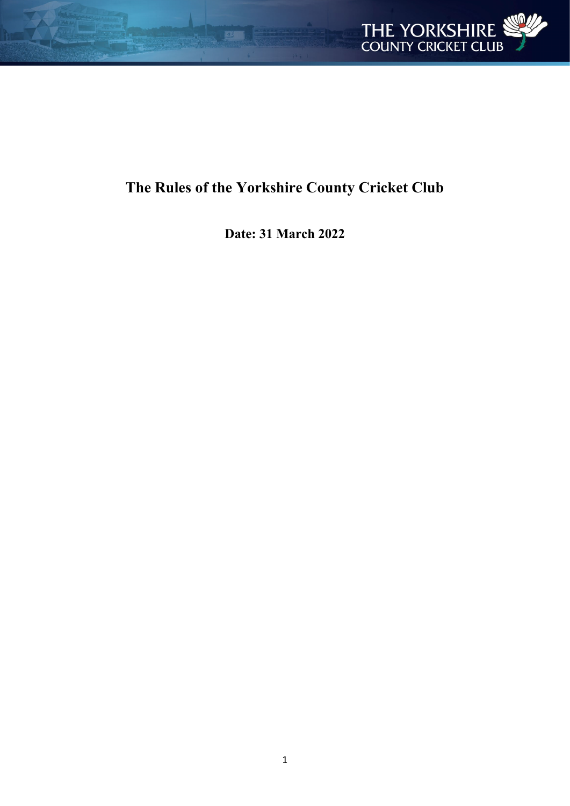

# **The Rules of the Yorkshire County Cricket Club**

**Date: 31 March 2022**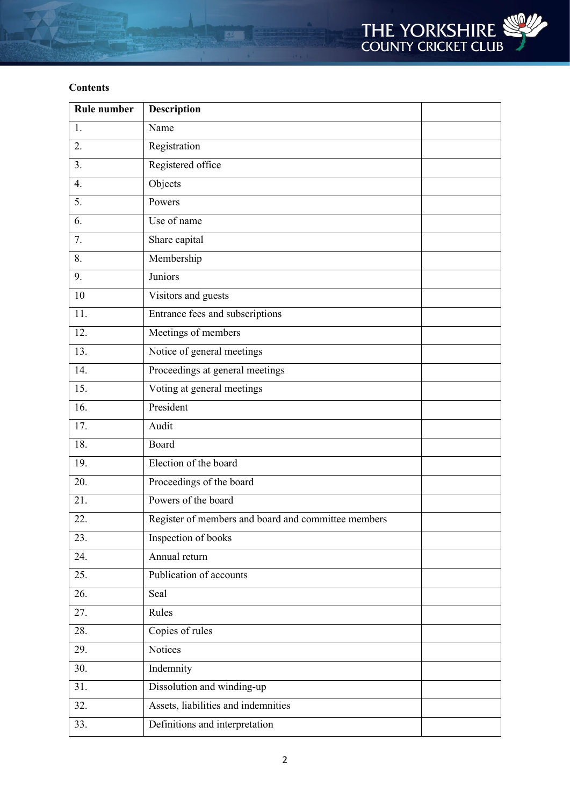

# **Contents**

| <b>Rule number</b> | <b>Description</b>                                  |  |
|--------------------|-----------------------------------------------------|--|
| 1.                 | Name                                                |  |
| 2.                 | Registration                                        |  |
| 3.                 | Registered office                                   |  |
| $\overline{4}$ .   | Objects                                             |  |
| 5.                 | Powers                                              |  |
| 6.                 | Use of name                                         |  |
| $\overline{7}$ .   | Share capital                                       |  |
| 8.                 | Membership                                          |  |
| 9.                 | Juniors                                             |  |
| 10                 | Visitors and guests                                 |  |
| 11.                | Entrance fees and subscriptions                     |  |
| 12.                | Meetings of members                                 |  |
| 13.                | Notice of general meetings                          |  |
| 14.                | Proceedings at general meetings                     |  |
| 15.                | Voting at general meetings                          |  |
| 16.                | President                                           |  |
| 17.                | Audit                                               |  |
| 18.                | Board                                               |  |
| 19.                | Election of the board                               |  |
| 20.                | Proceedings of the board                            |  |
| 21.                | Powers of the board                                 |  |
| 22.                | Register of members and board and committee members |  |
| 23.                | Inspection of books                                 |  |
| 24.                | Annual return                                       |  |
| 25.                | Publication of accounts                             |  |
| $\overline{26}$ .  | Seal                                                |  |
| 27.                | Rules                                               |  |
| 28.                | Copies of rules                                     |  |
| 29.                | Notices                                             |  |
| $\overline{30}$ .  | Indemnity                                           |  |
| 31.                | Dissolution and winding-up                          |  |
| 32.                | Assets, liabilities and indemnities                 |  |
| 33.                | Definitions and interpretation                      |  |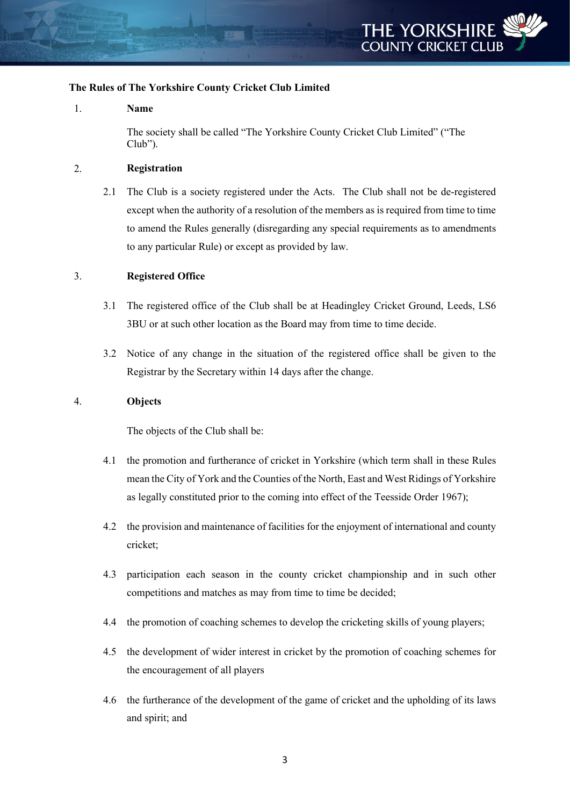

# **The Rules of The Yorkshire County Cricket Club Limited**

#### 1. **Name**

The society shall be called "The Yorkshire County Cricket Club Limited" ("The Club").

#### 2. **Registration**

2.1 The Club is a society registered under the Acts. The Club shall not be de-registered except when the authority of a resolution of the members as is required from time to time to amend the Rules generally (disregarding any special requirements as to amendments to any particular Rule) or except as provided by law.

#### 3. **Registered Office**

- 3.1 The registered office of the Club shall be at Headingley Cricket Ground, Leeds, LS6 3BU or at such other location as the Board may from time to time decide.
- 3.2 Notice of any change in the situation of the registered office shall be given to the Registrar by the Secretary within 14 days after the change.

#### 4. **Objects**

The objects of the Club shall be:

- 4.1 the promotion and furtherance of cricket in Yorkshire (which term shall in these Rules mean the City of York and the Counties of the North, East and West Ridings of Yorkshire as legally constituted prior to the coming into effect of the Teesside Order 1967);
- 4.2 the provision and maintenance of facilities for the enjoyment of international and county cricket;
- 4.3 participation each season in the county cricket championship and in such other competitions and matches as may from time to time be decided;
- 4.4 the promotion of coaching schemes to develop the cricketing skills of young players;
- 4.5 the development of wider interest in cricket by the promotion of coaching schemes for the encouragement of all players
- 4.6 the furtherance of the development of the game of cricket and the upholding of its laws and spirit; and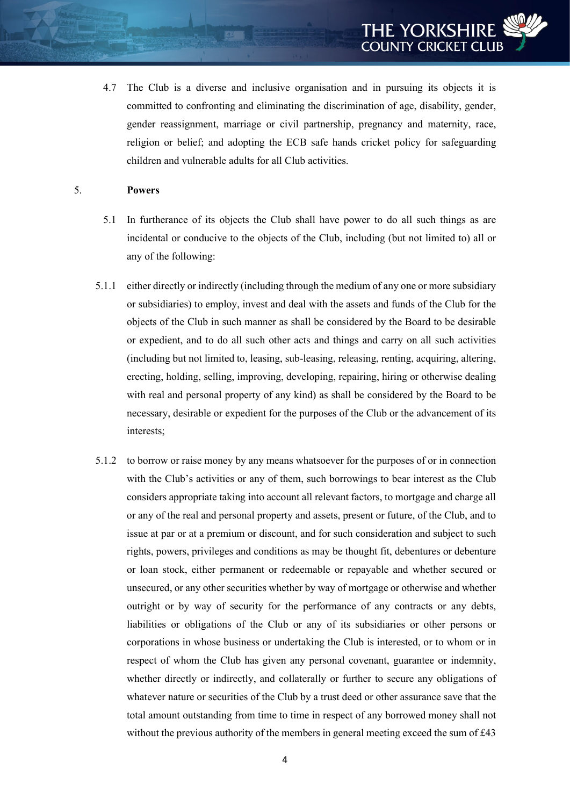4.7 The Club is a diverse and inclusive organisation and in pursuing its objects it is committed to confronting and eliminating the discrimination of age, disability, gender, gender reassignment, marriage or civil partnership, pregnancy and maternity, race, religion or belief; and adopting the ECB safe hands cricket policy for safeguarding children and vulnerable adults for all Club activities.

#### 5. **Powers**

- 5.1 In furtherance of its objects the Club shall have power to do all such things as are incidental or conducive to the objects of the Club, including (but not limited to) all or any of the following:
- 5.1.1 either directly or indirectly (including through the medium of any one or more subsidiary or subsidiaries) to employ, invest and deal with the assets and funds of the Club for the objects of the Club in such manner as shall be considered by the Board to be desirable or expedient, and to do all such other acts and things and carry on all such activities (including but not limited to, leasing, sub-leasing, releasing, renting, acquiring, altering, erecting, holding, selling, improving, developing, repairing, hiring or otherwise dealing with real and personal property of any kind) as shall be considered by the Board to be necessary, desirable or expedient for the purposes of the Club or the advancement of its interests;
- 5.1.2 to borrow or raise money by any means whatsoever for the purposes of or in connection with the Club's activities or any of them, such borrowings to bear interest as the Club considers appropriate taking into account all relevant factors, to mortgage and charge all or any of the real and personal property and assets, present or future, of the Club, and to issue at par or at a premium or discount, and for such consideration and subject to such rights, powers, privileges and conditions as may be thought fit, debentures or debenture or loan stock, either permanent or redeemable or repayable and whether secured or unsecured, or any other securities whether by way of mortgage or otherwise and whether outright or by way of security for the performance of any contracts or any debts, liabilities or obligations of the Club or any of its subsidiaries or other persons or corporations in whose business or undertaking the Club is interested, or to whom or in respect of whom the Club has given any personal covenant, guarantee or indemnity, whether directly or indirectly, and collaterally or further to secure any obligations of whatever nature or securities of the Club by a trust deed or other assurance save that the total amount outstanding from time to time in respect of any borrowed money shall not without the previous authority of the members in general meeting exceed the sum of  $\text{\pounds}43$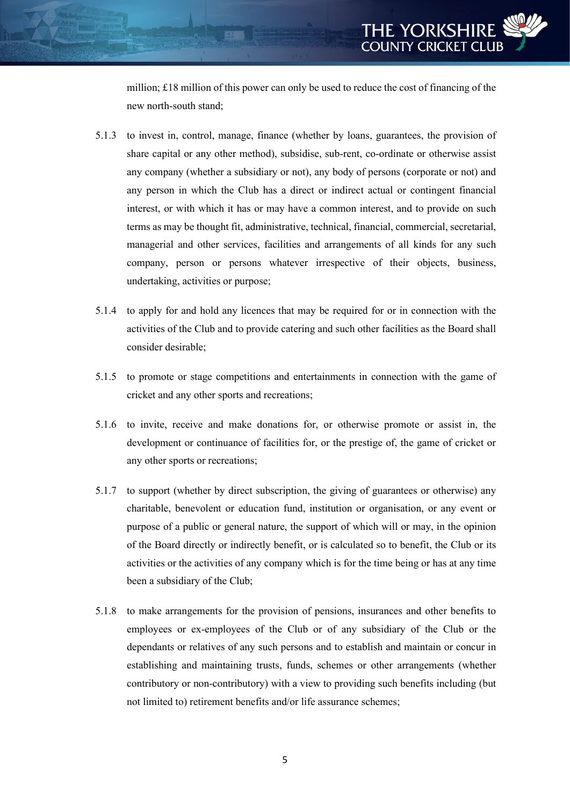

million; £18 million of this power can only be used to reduce the cost of financing of the new north-south stand;

- 5.1.3 to invest in, control, manage, finance (whether by loans, guarantees, the provision of share capital or any other method), subsidise, sub-rent, co-ordinate or otherwise assist any company (whether a subsidiary or not), any body of persons (corporate or not) and any person in which the Club has a direct or indirect actual or contingent financial interest, or with which it has or may have a common interest, and to provide on such terms as may be thought fit, administrative, technical, financial, commercial, secretarial, managerial and other services, facilities and arrangements of all kinds for any such company, person or persons whatever irrespective of their objects, business, undertaking, activities or purpose;
- 5.1.4 to apply for and hold any licences that may be required for or in connection with the activities of the Club and to provide catering and such other facilities as the Board shall consider desirable;
- 5.1.5 to promote or stage competitions and entertainments in connection with the game of cricket and any other sports and recreations;
- 5.1.6 to invite, receive and make donations for, or otherwise promote or assist in, the development or continuance of facilities for, or the prestige of, the game of cricket or any other sports or recreations;
- 5.1.7 to support (whether by direct subscription, the giving of guarantees or otherwise) any charitable, benevolent or education fund, institution or organisation, or any event or purpose of a public or general nature, the support of which will or may, in the opinion of the Board directly or indirectly benefit, or is calculated so to benefit, the Club or its activities or the activities of any company which is for the time being or has at any time been a subsidiary of the Club;
- 5.1.8 to make arrangements for the provision of pensions, insurances and other benefits to employees or ex-employees of the Club or of any subsidiary of the Club or the dependants or relatives of any such persons and to establish and maintain or concur in establishing and maintaining trusts, funds, schemes or other arrangements (whether contributory or non-contributory) with a view to providing such benefits including (but not limited to) retirement benefits and/or life assurance schemes;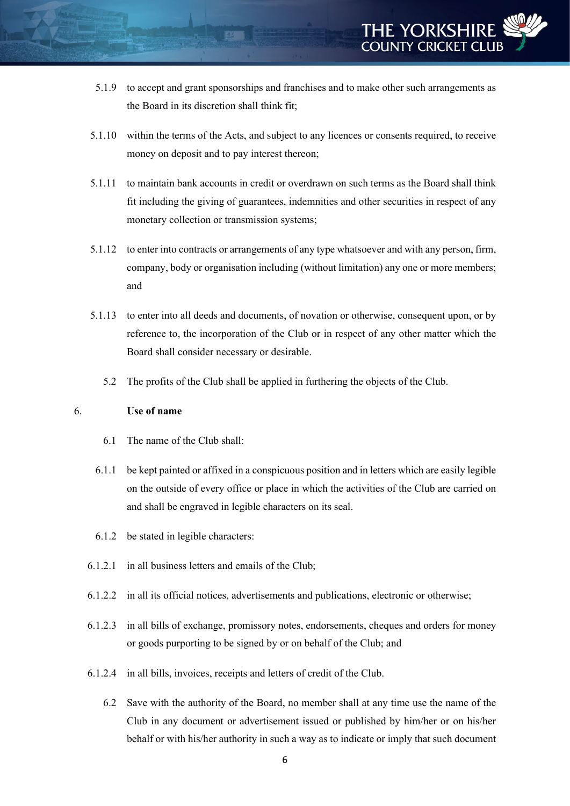- 5.1.9 to accept and grant sponsorships and franchises and to make other such arrangements as the Board in its discretion shall think fit;
- 5.1.10 within the terms of the Acts, and subject to any licences or consents required, to receive money on deposit and to pay interest thereon;
- 5.1.11 to maintain bank accounts in credit or overdrawn on such terms as the Board shall think fit including the giving of guarantees, indemnities and other securities in respect of any monetary collection or transmission systems;
- 5.1.12 to enter into contracts or arrangements of any type whatsoever and with any person, firm, company, body or organisation including (without limitation) any one or more members; and
- 5.1.13 to enter into all deeds and documents, of novation or otherwise, consequent upon, or by reference to, the incorporation of the Club or in respect of any other matter which the Board shall consider necessary or desirable.
	- 5.2 The profits of the Club shall be applied in furthering the objects of the Club.

#### 6. **Use of name**

- 6.1 The name of the Club shall:
- 6.1.1 be kept painted or affixed in a conspicuous position and in letters which are easily legible on the outside of every office or place in which the activities of the Club are carried on and shall be engraved in legible characters on its seal.
- 6.1.2 be stated in legible characters:
- 6.1.2.1 in all business letters and emails of the Club;
- 6.1.2.2 in all its official notices, advertisements and publications, electronic or otherwise;
- 6.1.2.3 in all bills of exchange, promissory notes, endorsements, cheques and orders for money or goods purporting to be signed by or on behalf of the Club; and
- 6.1.2.4 in all bills, invoices, receipts and letters of credit of the Club.
	- 6.2 Save with the authority of the Board, no member shall at any time use the name of the Club in any document or advertisement issued or published by him/her or on his/her behalf or with his/her authority in such a way as to indicate or imply that such document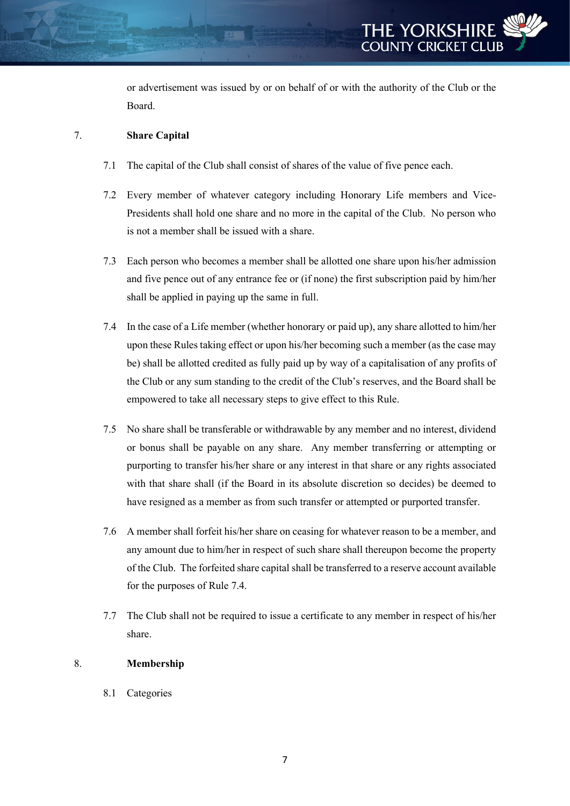or advertisement was issued by or on behalf of or with the authority of the Club or the Board.

# 7. **Share Capital**

- 7.1 The capital of the Club shall consist of shares of the value of five pence each.
- 7.2 Every member of whatever category including Honorary Life members and Vice-Presidents shall hold one share and no more in the capital of the Club. No person who is not a member shall be issued with a share.
- 7.3 Each person who becomes a member shall be allotted one share upon his/her admission and five pence out of any entrance fee or (if none) the first subscription paid by him/her shall be applied in paying up the same in full.
- 7.4 In the case of a Life member (whether honorary or paid up), any share allotted to him/her upon these Rules taking effect or upon his/her becoming such a member (as the case may be) shall be allotted credited as fully paid up by way of a capitalisation of any profits of the Club or any sum standing to the credit of the Club's reserves, and the Board shall be empowered to take all necessary steps to give effect to this Rule.
- 7.5 No share shall be transferable or withdrawable by any member and no interest, dividend or bonus shall be payable on any share. Any member transferring or attempting or purporting to transfer his/her share or any interest in that share or any rights associated with that share shall (if the Board in its absolute discretion so decides) be deemed to have resigned as a member as from such transfer or attempted or purported transfer.
- 7.6 A member shall forfeit his/her share on ceasing for whatever reason to be a member, and any amount due to him/her in respect of such share shall thereupon become the property of the Club. The forfeited share capital shall be transferred to a reserve account available for the purposes of Rule 7.4.
- 7.7 The Club shall not be required to issue a certificate to any member in respect of his/her share.

# 8. **Membership**

8.1 Categories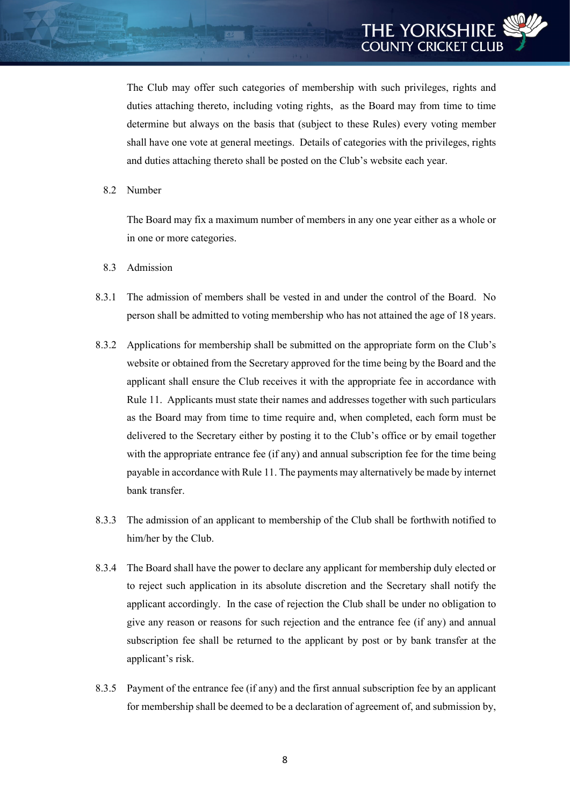The Club may offer such categories of membership with such privileges, rights and duties attaching thereto, including voting rights, as the Board may from time to time determine but always on the basis that (subject to these Rules) every voting member shall have one vote at general meetings. Details of categories with the privileges, rights and duties attaching thereto shall be posted on the Club's website each year.

8.2 Number

The Board may fix a maximum number of members in any one year either as a whole or in one or more categories.

- 8.3 Admission
- 8.3.1 The admission of members shall be vested in and under the control of the Board. No person shall be admitted to voting membership who has not attained the age of 18 years.
- 8.3.2 Applications for membership shall be submitted on the appropriate form on the Club's website or obtained from the Secretary approved for the time being by the Board and the applicant shall ensure the Club receives it with the appropriate fee in accordance with Rule 11. Applicants must state their names and addresses together with such particulars as the Board may from time to time require and, when completed, each form must be delivered to the Secretary either by posting it to the Club's office or by email together with the appropriate entrance fee (if any) and annual subscription fee for the time being payable in accordance with Rule 11. The payments may alternatively be made by internet bank transfer.
- 8.3.3 The admission of an applicant to membership of the Club shall be forthwith notified to him/her by the Club.
- 8.3.4 The Board shall have the power to declare any applicant for membership duly elected or to reject such application in its absolute discretion and the Secretary shall notify the applicant accordingly. In the case of rejection the Club shall be under no obligation to give any reason or reasons for such rejection and the entrance fee (if any) and annual subscription fee shall be returned to the applicant by post or by bank transfer at the applicant's risk.
- 8.3.5 Payment of the entrance fee (if any) and the first annual subscription fee by an applicant for membership shall be deemed to be a declaration of agreement of, and submission by,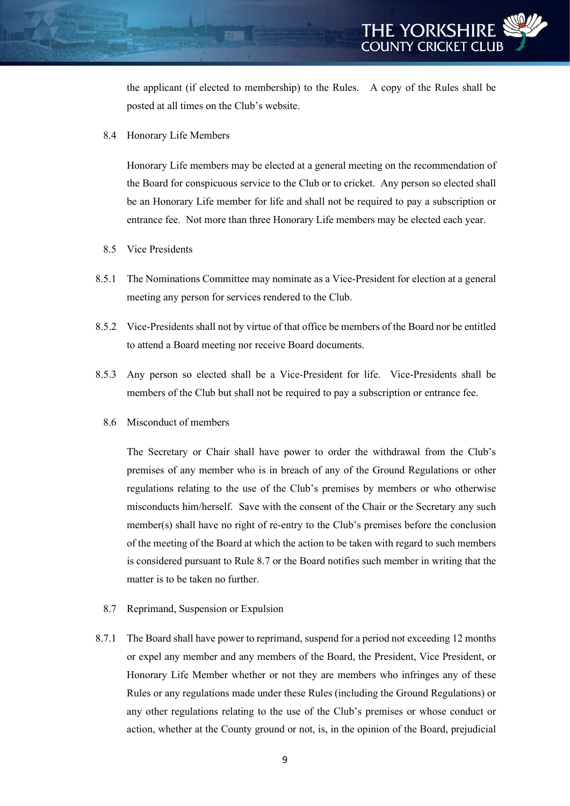the applicant (if elected to membership) to the Rules. A copy of the Rules shall be posted at all times on the Club's website.

8.4 Honorary Life Members

Honorary Life members may be elected at a general meeting on the recommendation of the Board for conspicuous service to the Club or to cricket. Any person so elected shall be an Honorary Life member for life and shall not be required to pay a subscription or entrance fee. Not more than three Honorary Life members may be elected each year.

- 8.5 Vice Presidents
- 8.5.1 The Nominations Committee may nominate as a Vice-President for election at a general meeting any person for services rendered to the Club.
- 8.5.2 Vice-Presidents shall not by virtue of that office be members of the Board nor be entitled to attend a Board meeting nor receive Board documents.
- 8.5.3 Any person so elected shall be a Vice-President for life. Vice-Presidents shall be members of the Club but shall not be required to pay a subscription or entrance fee.
	- 8.6 Misconduct of members

The Secretary or Chair shall have power to order the withdrawal from the Club's premises of any member who is in breach of any of the Ground Regulations or other regulations relating to the use of the Club's premises by members or who otherwise misconducts him/herself. Save with the consent of the Chair or the Secretary any such member(s) shall have no right of re-entry to the Club's premises before the conclusion of the meeting of the Board at which the action to be taken with regard to such members is considered pursuant to Rule 8.7 or the Board notifies such member in writing that the matter is to be taken no further.

- 8.7 Reprimand, Suspension or Expulsion
- 8.7.1 The Board shall have power to reprimand, suspend for a period not exceeding 12 months or expel any member and any members of the Board, the President, Vice President, or Honorary Life Member whether or not they are members who infringes any of these Rules or any regulations made under these Rules (including the Ground Regulations) or any other regulations relating to the use of the Club's premises or whose conduct or action, whether at the County ground or not, is, in the opinion of the Board, prejudicial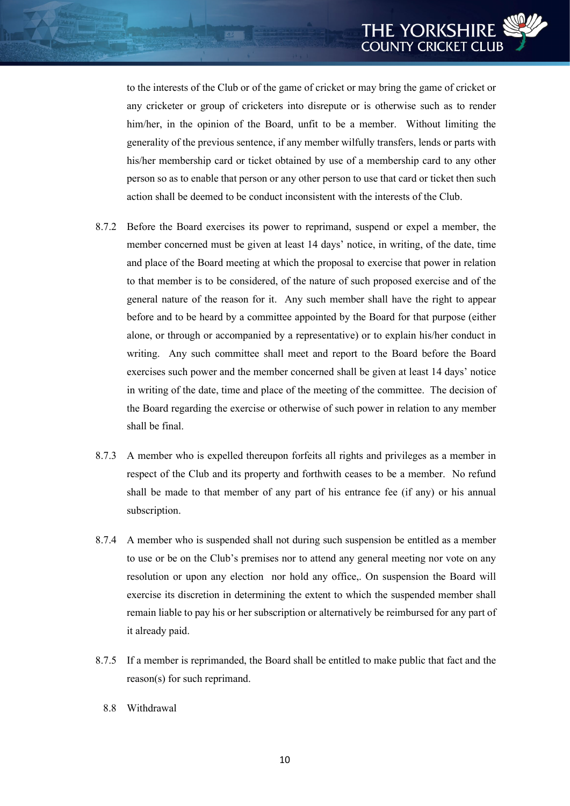to the interests of the Club or of the game of cricket or may bring the game of cricket or any cricketer or group of cricketers into disrepute or is otherwise such as to render him/her, in the opinion of the Board, unfit to be a member. Without limiting the generality of the previous sentence, if any member wilfully transfers, lends or parts with his/her membership card or ticket obtained by use of a membership card to any other person so as to enable that person or any other person to use that card or ticket then such action shall be deemed to be conduct inconsistent with the interests of the Club.

- 8.7.2 Before the Board exercises its power to reprimand, suspend or expel a member, the member concerned must be given at least 14 days' notice, in writing, of the date, time and place of the Board meeting at which the proposal to exercise that power in relation to that member is to be considered, of the nature of such proposed exercise and of the general nature of the reason for it. Any such member shall have the right to appear before and to be heard by a committee appointed by the Board for that purpose (either alone, or through or accompanied by a representative) or to explain his/her conduct in writing. Any such committee shall meet and report to the Board before the Board exercises such power and the member concerned shall be given at least 14 days' notice in writing of the date, time and place of the meeting of the committee. The decision of the Board regarding the exercise or otherwise of such power in relation to any member shall be final.
- 8.7.3 A member who is expelled thereupon forfeits all rights and privileges as a member in respect of the Club and its property and forthwith ceases to be a member. No refund shall be made to that member of any part of his entrance fee (if any) or his annual subscription.
- 8.7.4 A member who is suspended shall not during such suspension be entitled as a member to use or be on the Club's premises nor to attend any general meeting nor vote on any resolution or upon any election nor hold any office,. On suspension the Board will exercise its discretion in determining the extent to which the suspended member shall remain liable to pay his or her subscription or alternatively be reimbursed for any part of it already paid.
- 8.7.5 If a member is reprimanded, the Board shall be entitled to make public that fact and the reason(s) for such reprimand.
	- 8.8 Withdrawal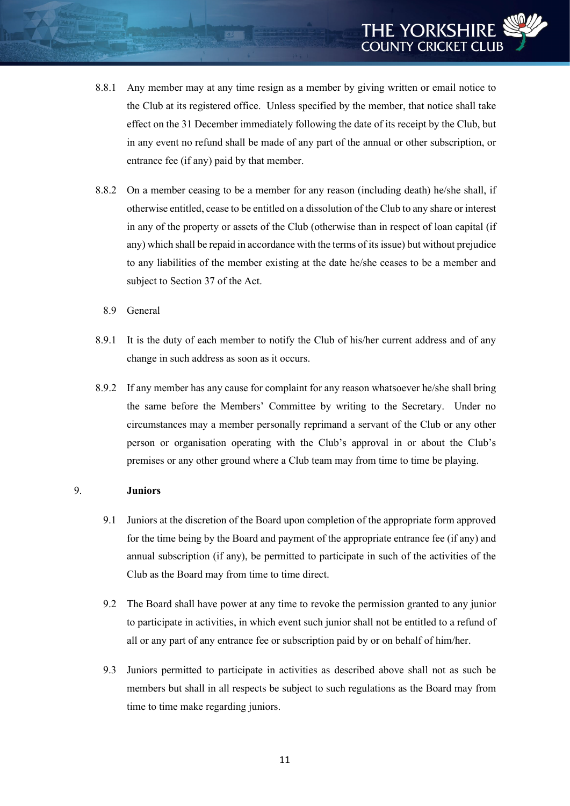- 8.8.1 Any member may at any time resign as a member by giving written or email notice to the Club at its registered office. Unless specified by the member, that notice shall take effect on the 31 December immediately following the date of its receipt by the Club, but in any event no refund shall be made of any part of the annual or other subscription, or entrance fee (if any) paid by that member.
- 8.8.2 On a member ceasing to be a member for any reason (including death) he/she shall, if otherwise entitled, cease to be entitled on a dissolution of the Club to any share or interest in any of the property or assets of the Club (otherwise than in respect of loan capital (if any) which shall be repaid in accordance with the terms of its issue) but without prejudice to any liabilities of the member existing at the date he/she ceases to be a member and subject to Section 37 of the Act.
	- 8.9 General
- 8.9.1 It is the duty of each member to notify the Club of his/her current address and of any change in such address as soon as it occurs.
- 8.9.2 If any member has any cause for complaint for any reason whatsoever he/she shall bring the same before the Members' Committee by writing to the Secretary. Under no circumstances may a member personally reprimand a servant of the Club or any other person or organisation operating with the Club's approval in or about the Club's premises or any other ground where a Club team may from time to time be playing.

#### 9. **Juniors**

- 9.1 Juniors at the discretion of the Board upon completion of the appropriate form approved for the time being by the Board and payment of the appropriate entrance fee (if any) and annual subscription (if any), be permitted to participate in such of the activities of the Club as the Board may from time to time direct.
- 9.2 The Board shall have power at any time to revoke the permission granted to any junior to participate in activities, in which event such junior shall not be entitled to a refund of all or any part of any entrance fee or subscription paid by or on behalf of him/her.
- 9.3 Juniors permitted to participate in activities as described above shall not as such be members but shall in all respects be subject to such regulations as the Board may from time to time make regarding juniors.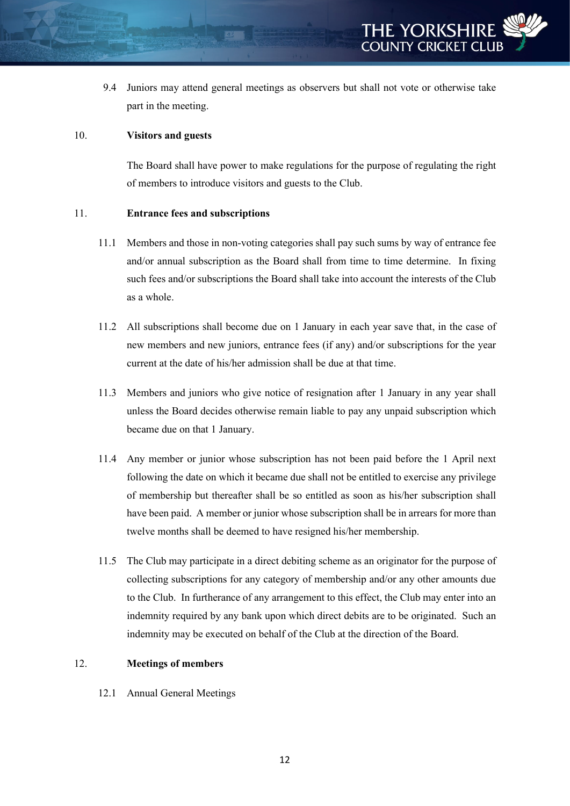9.4 Juniors may attend general meetings as observers but shall not vote or otherwise take part in the meeting.

# 10. **Visitors and guests**

The Board shall have power to make regulations for the purpose of regulating the right of members to introduce visitors and guests to the Club.

# 11. **Entrance fees and subscriptions**

- 11.1 Members and those in non-voting categories shall pay such sums by way of entrance fee and/or annual subscription as the Board shall from time to time determine. In fixing such fees and/or subscriptions the Board shall take into account the interests of the Club as a whole.
- 11.2 All subscriptions shall become due on 1 January in each year save that, in the case of new members and new juniors, entrance fees (if any) and/or subscriptions for the year current at the date of his/her admission shall be due at that time.
- 11.3 Members and juniors who give notice of resignation after 1 January in any year shall unless the Board decides otherwise remain liable to pay any unpaid subscription which became due on that 1 January.
- 11.4 Any member or junior whose subscription has not been paid before the 1 April next following the date on which it became due shall not be entitled to exercise any privilege of membership but thereafter shall be so entitled as soon as his/her subscription shall have been paid. A member or junior whose subscription shall be in arrears for more than twelve months shall be deemed to have resigned his/her membership.
- 11.5 The Club may participate in a direct debiting scheme as an originator for the purpose of collecting subscriptions for any category of membership and/or any other amounts due to the Club. In furtherance of any arrangement to this effect, the Club may enter into an indemnity required by any bank upon which direct debits are to be originated. Such an indemnity may be executed on behalf of the Club at the direction of the Board.

#### 12. **Meetings of members**

12.1 Annual General Meetings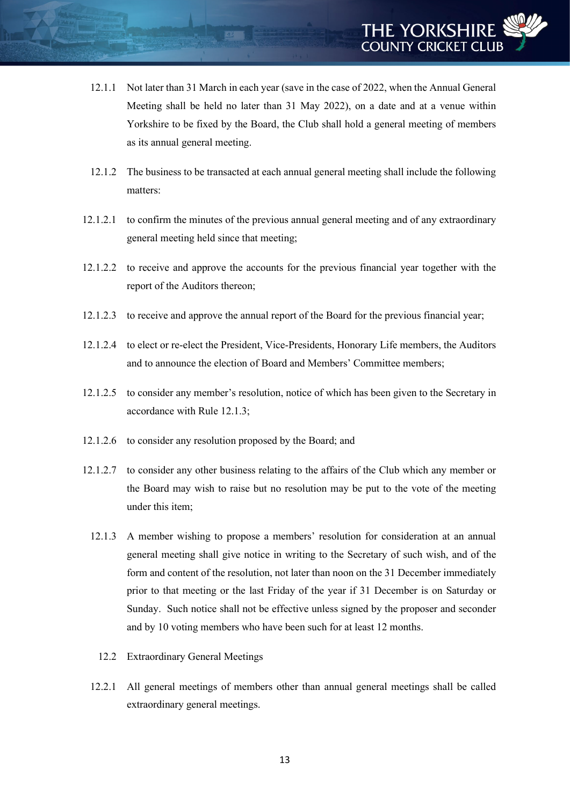- 12.1.1 Not later than 31 March in each year (save in the case of 2022, when the Annual General Meeting shall be held no later than 31 May 2022), on a date and at a venue within Yorkshire to be fixed by the Board, the Club shall hold a general meeting of members as its annual general meeting.
- 12.1.2 The business to be transacted at each annual general meeting shall include the following matters:
- 12.1.2.1 to confirm the minutes of the previous annual general meeting and of any extraordinary general meeting held since that meeting;
- 12.1.2.2 to receive and approve the accounts for the previous financial year together with the report of the Auditors thereon;
- 12.1.2.3 to receive and approve the annual report of the Board for the previous financial year;
- 12.1.2.4 to elect or re-elect the President, Vice-Presidents, Honorary Life members, the Auditors and to announce the election of Board and Members' Committee members;
- 12.1.2.5 to consider any member's resolution, notice of which has been given to the Secretary in accordance with Rule 12.1.3;
- 12.1.2.6 to consider any resolution proposed by the Board; and
- 12.1.2.7 to consider any other business relating to the affairs of the Club which any member or the Board may wish to raise but no resolution may be put to the vote of the meeting under this item;
	- 12.1.3 A member wishing to propose a members' resolution for consideration at an annual general meeting shall give notice in writing to the Secretary of such wish, and of the form and content of the resolution, not later than noon on the 31 December immediately prior to that meeting or the last Friday of the year if 31 December is on Saturday or Sunday. Such notice shall not be effective unless signed by the proposer and seconder and by 10 voting members who have been such for at least 12 months.
		- 12.2 Extraordinary General Meetings
	- 12.2.1 All general meetings of members other than annual general meetings shall be called extraordinary general meetings.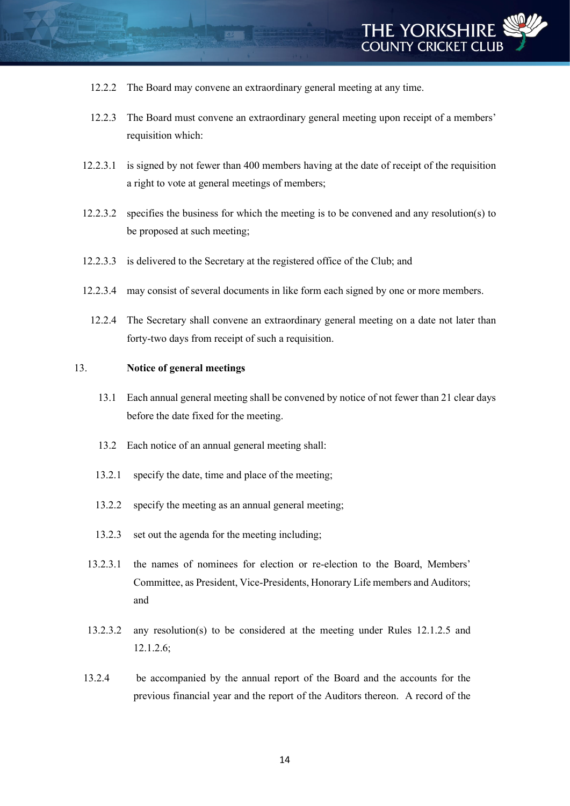- 12.2.2 The Board may convene an extraordinary general meeting at any time.
- 12.2.3 The Board must convene an extraordinary general meeting upon receipt of a members' requisition which:
- 12.2.3.1 is signed by not fewer than 400 members having at the date of receipt of the requisition a right to vote at general meetings of members;
- 12.2.3.2 specifies the business for which the meeting is to be convened and any resolution(s) to be proposed at such meeting;
- 12.2.3.3 is delivered to the Secretary at the registered office of the Club; and
- 12.2.3.4 may consist of several documents in like form each signed by one or more members.
	- 12.2.4 The Secretary shall convene an extraordinary general meeting on a date not later than forty-two days from receipt of such a requisition.

#### 13. **Notice of general meetings**

- 13.1 Each annual general meeting shall be convened by notice of not fewer than 21 clear days before the date fixed for the meeting.
- 13.2 Each notice of an annual general meeting shall:
- 13.2.1 specify the date, time and place of the meeting;
- 13.2.2 specify the meeting as an annual general meeting;
- 13.2.3 set out the agenda for the meeting including;
- 13.2.3.1 the names of nominees for election or re-election to the Board, Members' Committee, as President, Vice-Presidents, Honorary Life members and Auditors; and
- 13.2.3.2 any resolution(s) to be considered at the meeting under Rules 12.1.2.5 and 12.1.2.6;
- 13.2.4 be accompanied by the annual report of the Board and the accounts for the previous financial year and the report of the Auditors thereon. A record of the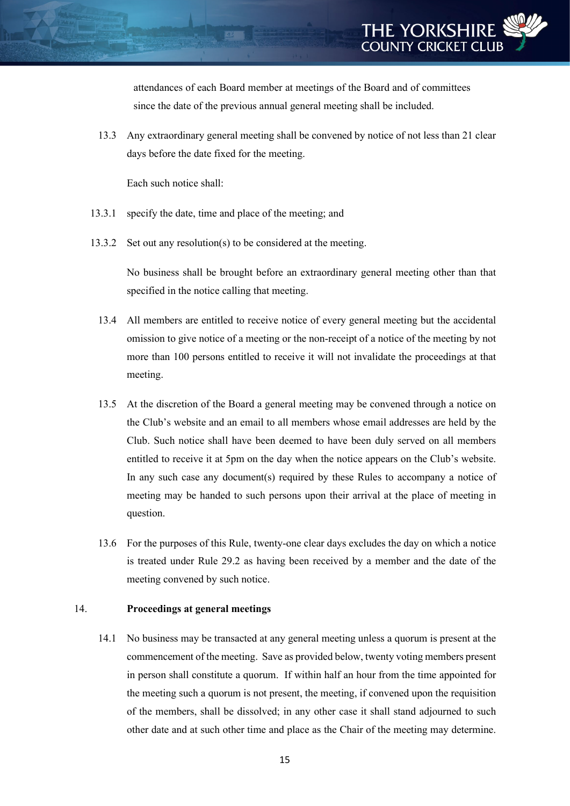attendances of each Board member at meetings of the Board and of committees since the date of the previous annual general meeting shall be included.

13.3 Any extraordinary general meeting shall be convened by notice of not less than 21 clear days before the date fixed for the meeting.

Each such notice shall:

- 13.3.1 specify the date, time and place of the meeting; and
- 13.3.2 Set out any resolution(s) to be considered at the meeting.

No business shall be brought before an extraordinary general meeting other than that specified in the notice calling that meeting.

- 13.4 All members are entitled to receive notice of every general meeting but the accidental omission to give notice of a meeting or the non-receipt of a notice of the meeting by not more than 100 persons entitled to receive it will not invalidate the proceedings at that meeting.
- 13.5 At the discretion of the Board a general meeting may be convened through a notice on the Club's website and an email to all members whose email addresses are held by the Club. Such notice shall have been deemed to have been duly served on all members entitled to receive it at 5pm on the day when the notice appears on the Club's website. In any such case any document(s) required by these Rules to accompany a notice of meeting may be handed to such persons upon their arrival at the place of meeting in question.
- 13.6 For the purposes of this Rule, twenty-one clear days excludes the day on which a notice is treated under Rule 29.2 as having been received by a member and the date of the meeting convened by such notice.

#### 14. **Proceedings at general meetings**

14.1 No business may be transacted at any general meeting unless a quorum is present at the commencement of the meeting. Save as provided below, twenty voting members present in person shall constitute a quorum. If within half an hour from the time appointed for the meeting such a quorum is not present, the meeting, if convened upon the requisition of the members, shall be dissolved; in any other case it shall stand adjourned to such other date and at such other time and place as the Chair of the meeting may determine.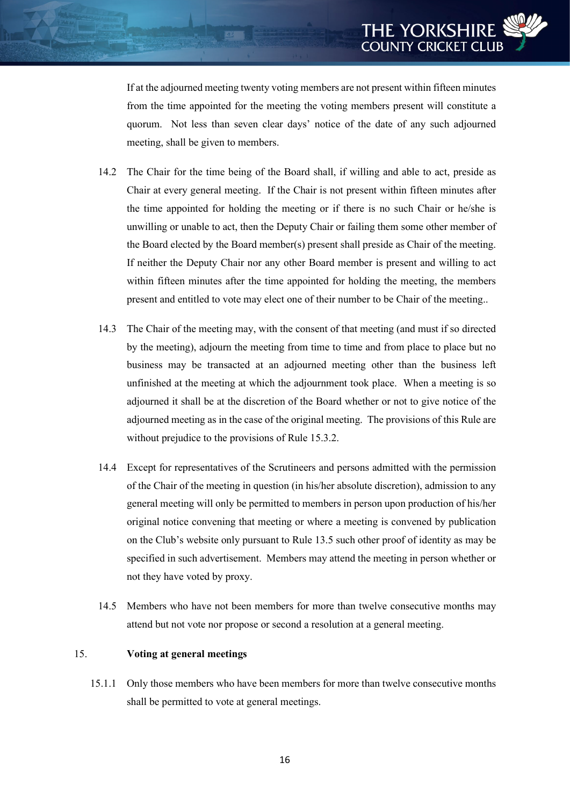If at the adjourned meeting twenty voting members are not present within fifteen minutes from the time appointed for the meeting the voting members present will constitute a quorum. Not less than seven clear days' notice of the date of any such adjourned meeting, shall be given to members.

- 14.2 The Chair for the time being of the Board shall, if willing and able to act, preside as Chair at every general meeting. If the Chair is not present within fifteen minutes after the time appointed for holding the meeting or if there is no such Chair or he/she is unwilling or unable to act, then the Deputy Chair or failing them some other member of the Board elected by the Board member(s) present shall preside as Chair of the meeting. If neither the Deputy Chair nor any other Board member is present and willing to act within fifteen minutes after the time appointed for holding the meeting, the members present and entitled to vote may elect one of their number to be Chair of the meeting..
- 14.3 The Chair of the meeting may, with the consent of that meeting (and must if so directed by the meeting), adjourn the meeting from time to time and from place to place but no business may be transacted at an adjourned meeting other than the business left unfinished at the meeting at which the adjournment took place. When a meeting is so adjourned it shall be at the discretion of the Board whether or not to give notice of the adjourned meeting as in the case of the original meeting. The provisions of this Rule are without prejudice to the provisions of Rule 15.3.2.
- 14.4 Except for representatives of the Scrutineers and persons admitted with the permission of the Chair of the meeting in question (in his/her absolute discretion), admission to any general meeting will only be permitted to members in person upon production of his/her original notice convening that meeting or where a meeting is convened by publication on the Club's website only pursuant to Rule 13.5 such other proof of identity as may be specified in such advertisement. Members may attend the meeting in person whether or not they have voted by proxy.
- 14.5 Members who have not been members for more than twelve consecutive months may attend but not vote nor propose or second a resolution at a general meeting.

# 15. **Voting at general meetings**

15.1.1 Only those members who have been members for more than twelve consecutive months shall be permitted to vote at general meetings.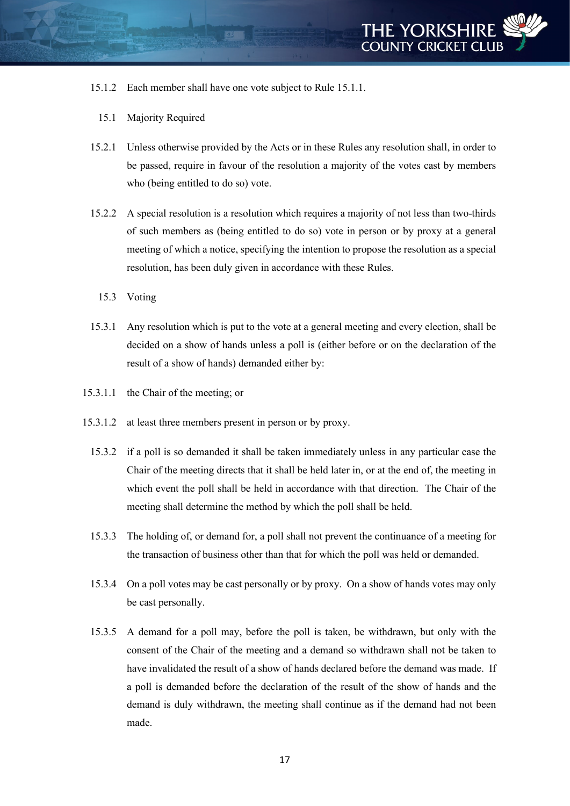

- 15.1.2 Each member shall have one vote subject to Rule 15.1.1.
	- 15.1 Majority Required
- 15.2.1 Unless otherwise provided by the Acts or in these Rules any resolution shall, in order to be passed, require in favour of the resolution a majority of the votes cast by members who (being entitled to do so) vote.
- 15.2.2 A special resolution is a resolution which requires a majority of not less than two-thirds of such members as (being entitled to do so) vote in person or by proxy at a general meeting of which a notice, specifying the intention to propose the resolution as a special resolution, has been duly given in accordance with these Rules.
	- 15.3 Voting
- 15.3.1 Any resolution which is put to the vote at a general meeting and every election, shall be decided on a show of hands unless a poll is (either before or on the declaration of the result of a show of hands) demanded either by:
- 15.3.1.1 the Chair of the meeting; or
- 15.3.1.2 at least three members present in person or by proxy.
	- 15.3.2 if a poll is so demanded it shall be taken immediately unless in any particular case the Chair of the meeting directs that it shall be held later in, or at the end of, the meeting in which event the poll shall be held in accordance with that direction. The Chair of the meeting shall determine the method by which the poll shall be held.
	- 15.3.3 The holding of, or demand for, a poll shall not prevent the continuance of a meeting for the transaction of business other than that for which the poll was held or demanded.
	- 15.3.4 On a poll votes may be cast personally or by proxy. On a show of hands votes may only be cast personally.
	- 15.3.5 A demand for a poll may, before the poll is taken, be withdrawn, but only with the consent of the Chair of the meeting and a demand so withdrawn shall not be taken to have invalidated the result of a show of hands declared before the demand was made. If a poll is demanded before the declaration of the result of the show of hands and the demand is duly withdrawn, the meeting shall continue as if the demand had not been made.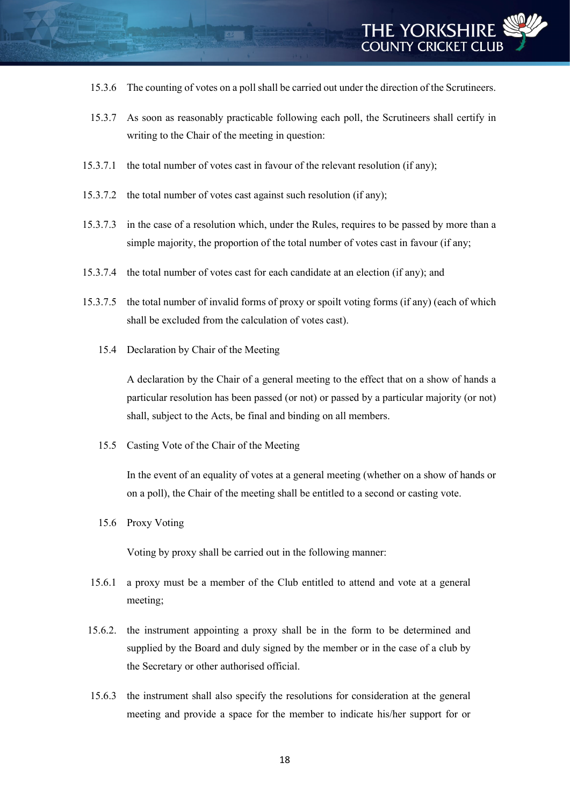- 15.3.6 The counting of votes on a poll shall be carried out under the direction of the Scrutineers.
- 15.3.7 As soon as reasonably practicable following each poll, the Scrutineers shall certify in writing to the Chair of the meeting in question:
- 15.3.7.1 the total number of votes cast in favour of the relevant resolution (if any);
- 15.3.7.2 the total number of votes cast against such resolution (if any);
- 15.3.7.3 in the case of a resolution which, under the Rules, requires to be passed by more than a simple majority, the proportion of the total number of votes cast in favour (if any;
- 15.3.7.4 the total number of votes cast for each candidate at an election (if any); and
- 15.3.7.5 the total number of invalid forms of proxy or spoilt voting forms (if any) (each of which shall be excluded from the calculation of votes cast).
	- 15.4 Declaration by Chair of the Meeting

A declaration by the Chair of a general meeting to the effect that on a show of hands a particular resolution has been passed (or not) or passed by a particular majority (or not) shall, subject to the Acts, be final and binding on all members.

15.5 Casting Vote of the Chair of the Meeting

In the event of an equality of votes at a general meeting (whether on a show of hands or on a poll), the Chair of the meeting shall be entitled to a second or casting vote.

15.6 Proxy Voting

Voting by proxy shall be carried out in the following manner:

- 15.6.1 a proxy must be a member of the Club entitled to attend and vote at a general meeting;
- 15.6.2. the instrument appointing a proxy shall be in the form to be determined and supplied by the Board and duly signed by the member or in the case of a club by the Secretary or other authorised official.
- 15.6.3 the instrument shall also specify the resolutions for consideration at the general meeting and provide a space for the member to indicate his/her support for or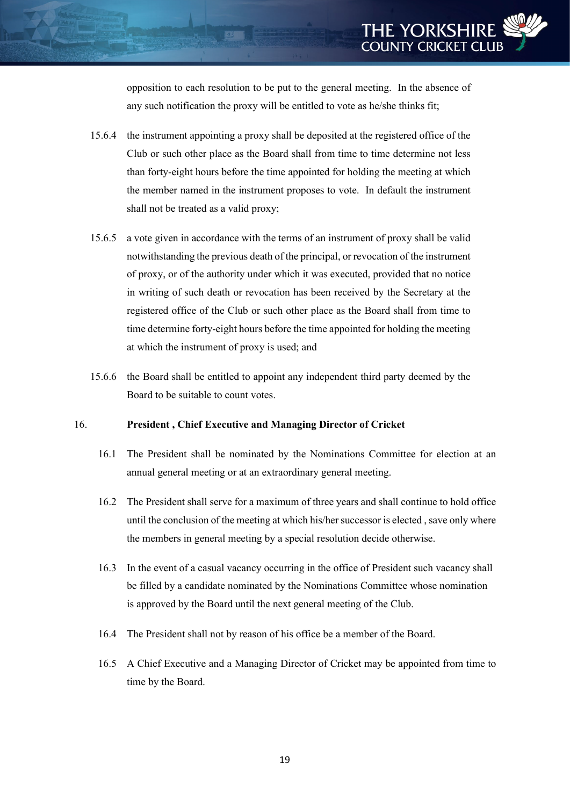opposition to each resolution to be put to the general meeting. In the absence of any such notification the proxy will be entitled to vote as he/she thinks fit;

- 15.6.4 the instrument appointing a proxy shall be deposited at the registered office of the Club or such other place as the Board shall from time to time determine not less than forty-eight hours before the time appointed for holding the meeting at which the member named in the instrument proposes to vote. In default the instrument shall not be treated as a valid proxy;
- 15.6.5 a vote given in accordance with the terms of an instrument of proxy shall be valid notwithstanding the previous death of the principal, or revocation of the instrument of proxy, or of the authority under which it was executed, provided that no notice in writing of such death or revocation has been received by the Secretary at the registered office of the Club or such other place as the Board shall from time to time determine forty-eight hours before the time appointed for holding the meeting at which the instrument of proxy is used; and
- 15.6.6 the Board shall be entitled to appoint any independent third party deemed by the Board to be suitable to count votes.

#### 16. **President , Chief Executive and Managing Director of Cricket**

- 16.1 The President shall be nominated by the Nominations Committee for election at an annual general meeting or at an extraordinary general meeting.
- 16.2 The President shall serve for a maximum of three years and shall continue to hold office until the conclusion of the meeting at which his/her successor is elected , save only where the members in general meeting by a special resolution decide otherwise.
- 16.3 In the event of a casual vacancy occurring in the office of President such vacancy shall be filled by a candidate nominated by the Nominations Committee whose nomination is approved by the Board until the next general meeting of the Club.
- 16.4 The President shall not by reason of his office be a member of the Board.
- 16.5 A Chief Executive and a Managing Director of Cricket may be appointed from time to time by the Board.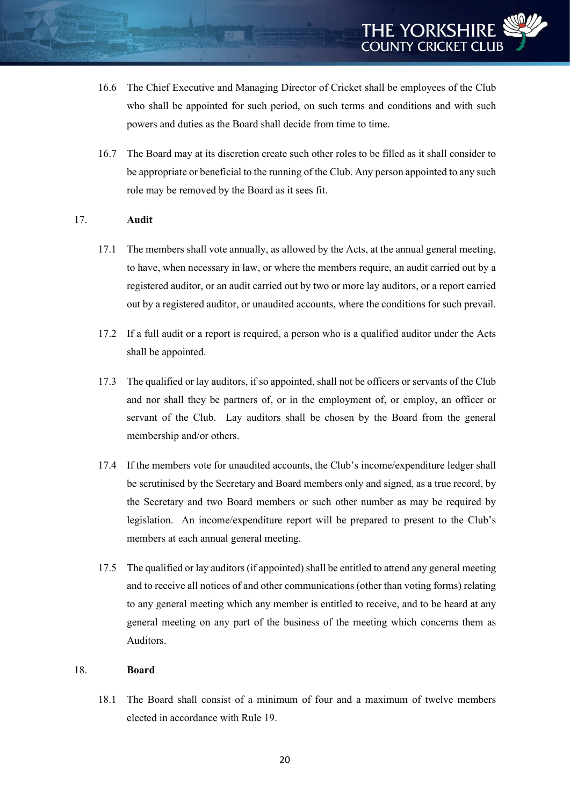- 16.6 The Chief Executive and Managing Director of Cricket shall be employees of the Club who shall be appointed for such period, on such terms and conditions and with such powers and duties as the Board shall decide from time to time.
- 16.7 The Board may at its discretion create such other roles to be filled as it shall consider to be appropriate or beneficial to the running of the Club. Any person appointed to any such role may be removed by the Board as it sees fit.

# 17. **Audit**

- 17.1 The members shall vote annually, as allowed by the Acts, at the annual general meeting, to have, when necessary in law, or where the members require, an audit carried out by a registered auditor, or an audit carried out by two or more lay auditors, or a report carried out by a registered auditor, or unaudited accounts, where the conditions for such prevail.
- 17.2 If a full audit or a report is required, a person who is a qualified auditor under the Acts shall be appointed.
- 17.3 The qualified or lay auditors, if so appointed, shall not be officers or servants of the Club and nor shall they be partners of, or in the employment of, or employ, an officer or servant of the Club. Lay auditors shall be chosen by the Board from the general membership and/or others.
- 17.4 If the members vote for unaudited accounts, the Club's income/expenditure ledger shall be scrutinised by the Secretary and Board members only and signed, as a true record, by the Secretary and two Board members or such other number as may be required by legislation. An income/expenditure report will be prepared to present to the Club's members at each annual general meeting.
- 17.5 The qualified or lay auditors (if appointed) shall be entitled to attend any general meeting and to receive all notices of and other communications (other than voting forms) relating to any general meeting which any member is entitled to receive, and to be heard at any general meeting on any part of the business of the meeting which concerns them as Auditors.

#### 18. **Board**

18.1 The Board shall consist of a minimum of four and a maximum of twelve members elected in accordance with Rule 19.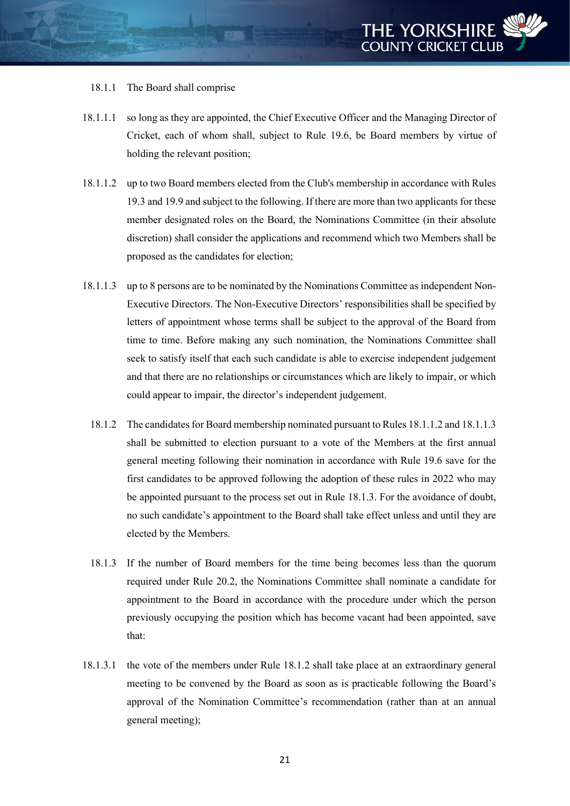## 18.1.1 The Board shall comprise

- 18.1.1.1 so long as they are appointed, the Chief Executive Officer and the Managing Director of Cricket, each of whom shall, subject to Rule 19.6, be Board members by virtue of holding the relevant position;
- 18.1.1.2 up to two Board members elected from the Club's membership in accordance with Rules 19.3 and 19.9 and subject to the following. If there are more than two applicants for these member designated roles on the Board, the Nominations Committee (in their absolute discretion) shall consider the applications and recommend which two Members shall be proposed as the candidates for election;
- 18.1.1.3 up to 8 persons are to be nominated by the Nominations Committee as independent Non-Executive Directors. The Non-Executive Directors' responsibilities shall be specified by letters of appointment whose terms shall be subject to the approval of the Board from time to time. Before making any such nomination, the Nominations Committee shall seek to satisfy itself that each such candidate is able to exercise independent judgement and that there are no relationships or circumstances which are likely to impair, or which could appear to impair, the director's independent judgement.
	- 18.1.2 The candidates for Board membership nominated pursuant to Rules 18.1.1.2 and 18.1.1.3 shall be submitted to election pursuant to a vote of the Members at the first annual general meeting following their nomination in accordance with Rule 19.6 save for the first candidates to be approved following the adoption of these rules in 2022 who may be appointed pursuant to the process set out in Rule 18.1.3. For the avoidance of doubt, no such candidate's appointment to the Board shall take effect unless and until they are elected by the Members.
	- 18.1.3 If the number of Board members for the time being becomes less than the quorum required under Rule 20.2, the Nominations Committee shall nominate a candidate for appointment to the Board in accordance with the procedure under which the person previously occupying the position which has become vacant had been appointed, save that:
- 18.1.3.1 the vote of the members under Rule 18.1.2 shall take place at an extraordinary general meeting to be convened by the Board as soon as is practicable following the Board's approval of the Nomination Committee's recommendation (rather than at an annual general meeting);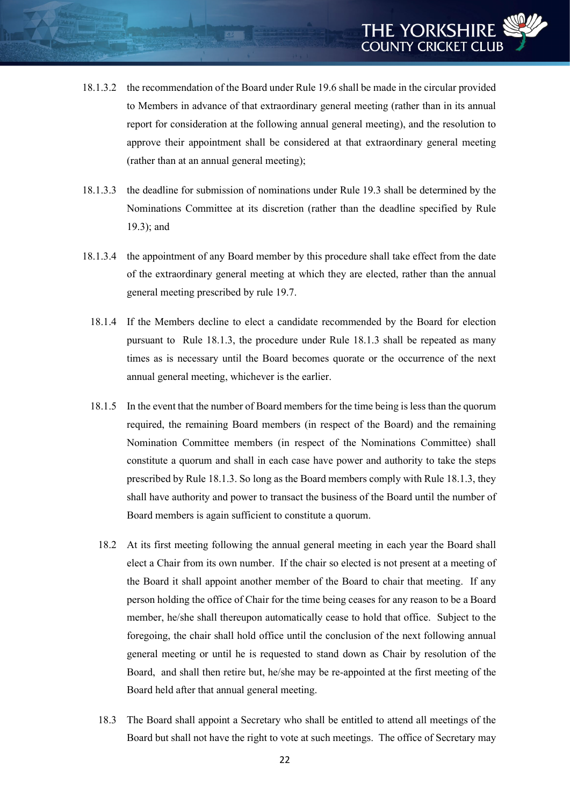- 18.1.3.2 the recommendation of the Board under Rule 19.6 shall be made in the circular provided to Members in advance of that extraordinary general meeting (rather than in its annual report for consideration at the following annual general meeting), and the resolution to approve their appointment shall be considered at that extraordinary general meeting (rather than at an annual general meeting);
- 18.1.3.3 the deadline for submission of nominations under Rule 19.3 shall be determined by the Nominations Committee at its discretion (rather than the deadline specified by Rule 19.3); and
- 18.1.3.4 the appointment of any Board member by this procedure shall take effect from the date of the extraordinary general meeting at which they are elected, rather than the annual general meeting prescribed by rule 19.7.
	- 18.1.4 If the Members decline to elect a candidate recommended by the Board for election pursuant to Rule 18.1.3, the procedure under Rule 18.1.3 shall be repeated as many times as is necessary until the Board becomes quorate or the occurrence of the next annual general meeting, whichever is the earlier.
	- 18.1.5 In the event that the number of Board members for the time being is less than the quorum required, the remaining Board members (in respect of the Board) and the remaining Nomination Committee members (in respect of the Nominations Committee) shall constitute a quorum and shall in each case have power and authority to take the steps prescribed by Rule 18.1.3. So long as the Board members comply with Rule 18.1.3, they shall have authority and power to transact the business of the Board until the number of Board members is again sufficient to constitute a quorum.
		- 18.2 At its first meeting following the annual general meeting in each year the Board shall elect a Chair from its own number. If the chair so elected is not present at a meeting of the Board it shall appoint another member of the Board to chair that meeting. If any person holding the office of Chair for the time being ceases for any reason to be a Board member, he/she shall thereupon automatically cease to hold that office. Subject to the foregoing, the chair shall hold office until the conclusion of the next following annual general meeting or until he is requested to stand down as Chair by resolution of the Board, and shall then retire but, he/she may be re-appointed at the first meeting of the Board held after that annual general meeting.
		- 18.3 The Board shall appoint a Secretary who shall be entitled to attend all meetings of the Board but shall not have the right to vote at such meetings. The office of Secretary may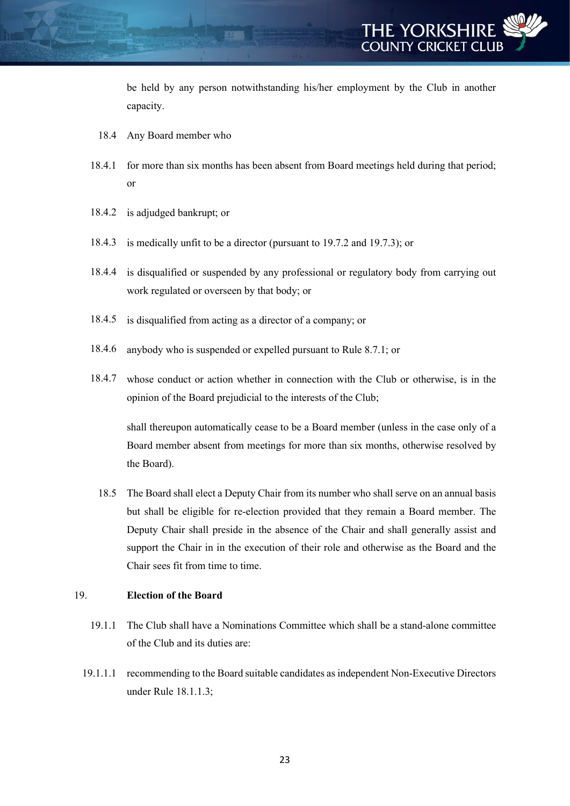be held by any person notwithstanding his/her employment by the Club in another capacity.

- 18.4 Any Board member who
- 18.4.1 for more than six months has been absent from Board meetings held during that period; or
- 18.4.2 is adjudged bankrupt; or
- 18.4.3 is medically unfit to be a director (pursuant to 19.7.2 and 19.7.3); or
- 18.4.4 is disqualified or suspended by any professional or regulatory body from carrying out work regulated or overseen by that body; or
- 18.4.5 is disqualified from acting as a director of a company; or
- 18.4.6 anybody who is suspended or expelled pursuant to Rule 8.7.1; or
- 18.4.7 whose conduct or action whether in connection with the Club or otherwise, is in the opinion of the Board prejudicial to the interests of the Club;

shall thereupon automatically cease to be a Board member (unless in the case only of a Board member absent from meetings for more than six months, otherwise resolved by the Board).

18.5 The Board shall elect a Deputy Chair from its number who shall serve on an annual basis but shall be eligible for re-election provided that they remain a Board member. The Deputy Chair shall preside in the absence of the Chair and shall generally assist and support the Chair in in the execution of their role and otherwise as the Board and the Chair sees fit from time to time.

# 19. **Election of the Board**

- 19.1.1 The Club shall have a Nominations Committee which shall be a stand-alone committee of the Club and its duties are:
- 19.1.1.1 recommending to the Board suitable candidates as independent Non-Executive Directors under Rule 18.1.1.3;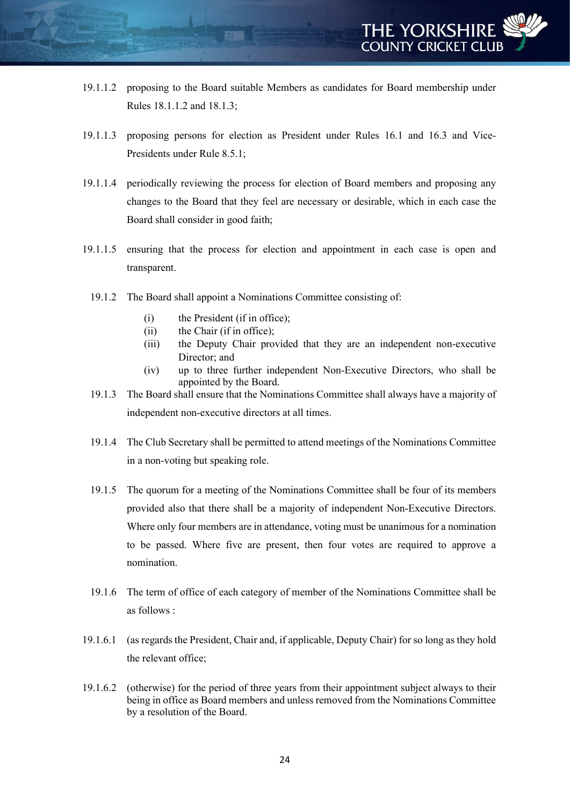- 19.1.1.2 proposing to the Board suitable Members as candidates for Board membership under Rules 18.1.1.2 and 18.1.3;
- 19.1.1.3 proposing persons for election as President under Rules 16.1 and 16.3 and Vice-Presidents under Rule 8.5.1;
- 19.1.1.4 periodically reviewing the process for election of Board members and proposing any changes to the Board that they feel are necessary or desirable, which in each case the Board shall consider in good faith;
- 19.1.1.5 ensuring that the process for election and appointment in each case is open and transparent.
	- 19.1.2 The Board shall appoint a Nominations Committee consisting of:
		- (i) the President (if in office);
		- (ii) the Chair (if in office);
		- (iii) the Deputy Chair provided that they are an independent non-executive Director; and
		- (iv) up to three further independent Non-Executive Directors, who shall be appointed by the Board.
	- 19.1.3 The Board shall ensure that the Nominations Committee shall always have a majority of independent non-executive directors at all times.
	- 19.1.4 The Club Secretary shall be permitted to attend meetings of the Nominations Committee in a non-voting but speaking role.
	- 19.1.5 The quorum for a meeting of the Nominations Committee shall be four of its members provided also that there shall be a majority of independent Non-Executive Directors. Where only four members are in attendance, voting must be unanimous for a nomination to be passed. Where five are present, then four votes are required to approve a nomination.
	- 19.1.6 The term of office of each category of member of the Nominations Committee shall be as follows :
- 19.1.6.1 (as regards the President, Chair and, if applicable, Deputy Chair) for so long as they hold the relevant office;
- 19.1.6.2 (otherwise) for the period of three years from their appointment subject always to their being in office as Board members and unless removed from the Nominations Committee by a resolution of the Board.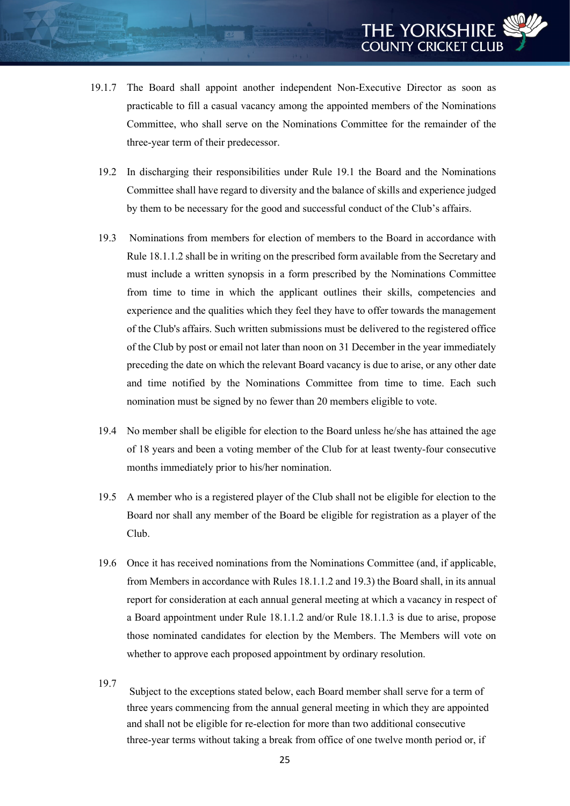- 19.1.7 The Board shall appoint another independent Non-Executive Director as soon as practicable to fill a casual vacancy among the appointed members of the Nominations Committee, who shall serve on the Nominations Committee for the remainder of the three-year term of their predecessor.
	- 19.2 In discharging their responsibilities under Rule 19.1 the Board and the Nominations Committee shall have regard to diversity and the balance of skills and experience judged by them to be necessary for the good and successful conduct of the Club's affairs.
	- 19.3 Nominations from members for election of members to the Board in accordance with Rule 18.1.1.2 shall be in writing on the prescribed form available from the Secretary and must include a written synopsis in a form prescribed by the Nominations Committee from time to time in which the applicant outlines their skills, competencies and experience and the qualities which they feel they have to offer towards the management of the Club's affairs. Such written submissions must be delivered to the registered office of the Club by post or email not later than noon on 31 December in the year immediately preceding the date on which the relevant Board vacancy is due to arise, or any other date and time notified by the Nominations Committee from time to time. Each such nomination must be signed by no fewer than 20 members eligible to vote.
	- 19.4 No member shall be eligible for election to the Board unless he/she has attained the age of 18 years and been a voting member of the Club for at least twenty-four consecutive months immediately prior to his/her nomination.
	- 19.5 A member who is a registered player of the Club shall not be eligible for election to the Board nor shall any member of the Board be eligible for registration as a player of the Club.
	- 19.6 Once it has received nominations from the Nominations Committee (and, if applicable, from Members in accordance with Rules 18.1.1.2 and 19.3) the Board shall, in its annual report for consideration at each annual general meeting at which a vacancy in respect of a Board appointment under Rule 18.1.1.2 and/or Rule 18.1.1.3 is due to arise, propose those nominated candidates for election by the Members. The Members will vote on whether to approve each proposed appointment by ordinary resolution.
	- 19.7

Subject to the exceptions stated below, each Board member shall serve for a term of three years commencing from the annual general meeting in which they are appointed and shall not be eligible for re-election for more than two additional consecutive three-year terms without taking a break from office of one twelve month period or, if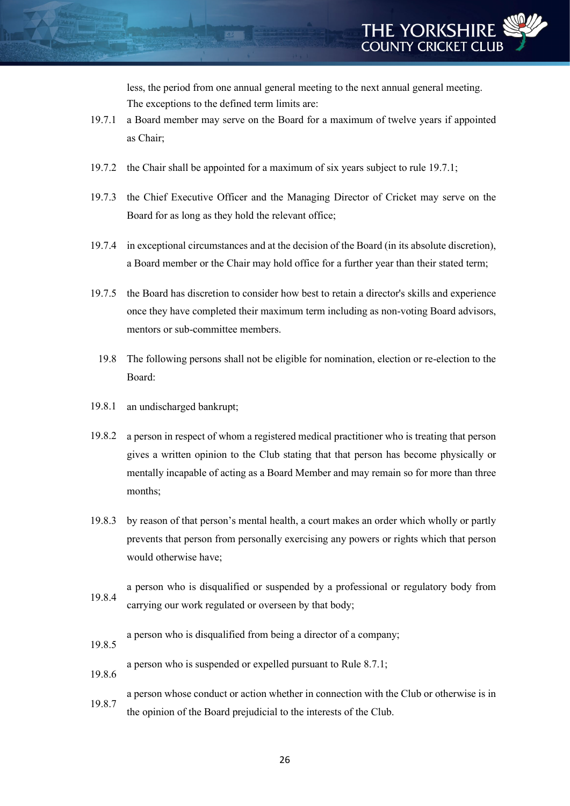less, the period from one annual general meeting to the next annual general meeting. The exceptions to the defined term limits are:

- 19.7.1 a Board member may serve on the Board for a maximum of twelve years if appointed as Chair;
- 19.7.2 the Chair shall be appointed for a maximum of six years subject to rule 19.7.1;
- 19.7.3 the Chief Executive Officer and the Managing Director of Cricket may serve on the Board for as long as they hold the relevant office;
- 19.7.4 in exceptional circumstances and at the decision of the Board (in its absolute discretion), a Board member or the Chair may hold office for a further year than their stated term;
- 19.7.5 the Board has discretion to consider how best to retain a director's skills and experience once they have completed their maximum term including as non-voting Board advisors, mentors or sub-committee members.
	- 19.8 The following persons shall not be eligible for nomination, election or re-election to the Board:
- 19.8.1 an undischarged bankrupt;
- 19.8.2 a person in respect of whom a registered medical practitioner who is treating that person gives a written opinion to the Club stating that that person has become physically or mentally incapable of acting as a Board Member and may remain so for more than three months;
- 19.8.3 by reason of that person's mental health, a court makes an order which wholly or partly prevents that person from personally exercising any powers or rights which that person would otherwise have;
- 19.8.4 a person who is disqualified or suspended by a professional or regulatory body from carrying our work regulated or overseen by that body;
	- a person who is disqualified from being a director of a company;
- 19.8.5
- a person who is suspended or expelled pursuant to Rule 8.7.1;
- 19.8.6
- 19.8.7 a person whose conduct or action whether in connection with the Club or otherwise is in the opinion of the Board prejudicial to the interests of the Club.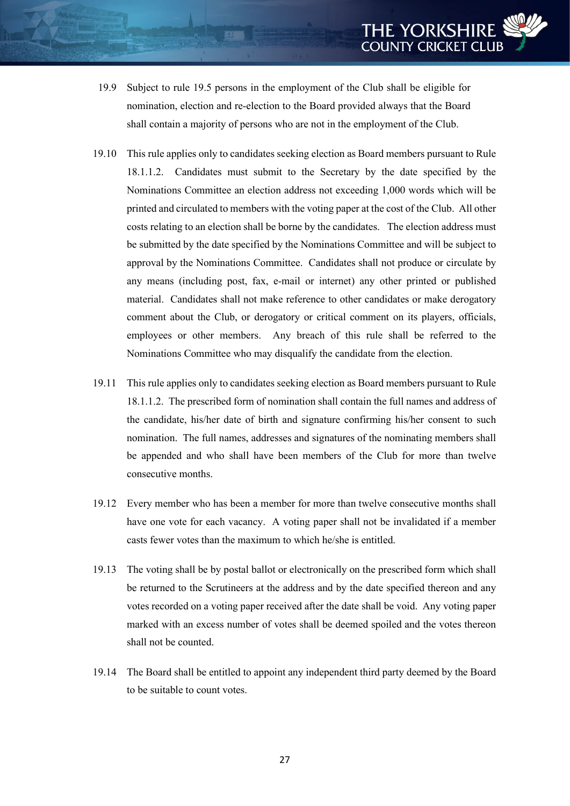- 19.9 Subject to rule 19.5 persons in the employment of the Club shall be eligible for nomination, election and re-election to the Board provided always that the Board shall contain a majority of persons who are not in the employment of the Club.
- 19.10 This rule applies only to candidates seeking election as Board members pursuant to Rule 18.1.1.2. Candidates must submit to the Secretary by the date specified by the Nominations Committee an election address not exceeding 1,000 words which will be printed and circulated to members with the voting paper at the cost of the Club. All other costs relating to an election shall be borne by the candidates. The election address must be submitted by the date specified by the Nominations Committee and will be subject to approval by the Nominations Committee. Candidates shall not produce or circulate by any means (including post, fax, e-mail or internet) any other printed or published material. Candidates shall not make reference to other candidates or make derogatory comment about the Club, or derogatory or critical comment on its players, officials, employees or other members. Any breach of this rule shall be referred to the Nominations Committee who may disqualify the candidate from the election.
- 19.11 This rule applies only to candidates seeking election as Board members pursuant to Rule 18.1.1.2. The prescribed form of nomination shall contain the full names and address of the candidate, his/her date of birth and signature confirming his/her consent to such nomination. The full names, addresses and signatures of the nominating members shall be appended and who shall have been members of the Club for more than twelve consecutive months.
- 19.12 Every member who has been a member for more than twelve consecutive months shall have one vote for each vacancy. A voting paper shall not be invalidated if a member casts fewer votes than the maximum to which he/she is entitled.
- 19.13 The voting shall be by postal ballot or electronically on the prescribed form which shall be returned to the Scrutineers at the address and by the date specified thereon and any votes recorded on a voting paper received after the date shall be void. Any voting paper marked with an excess number of votes shall be deemed spoiled and the votes thereon shall not be counted.
- 19.14 The Board shall be entitled to appoint any independent third party deemed by the Board to be suitable to count votes.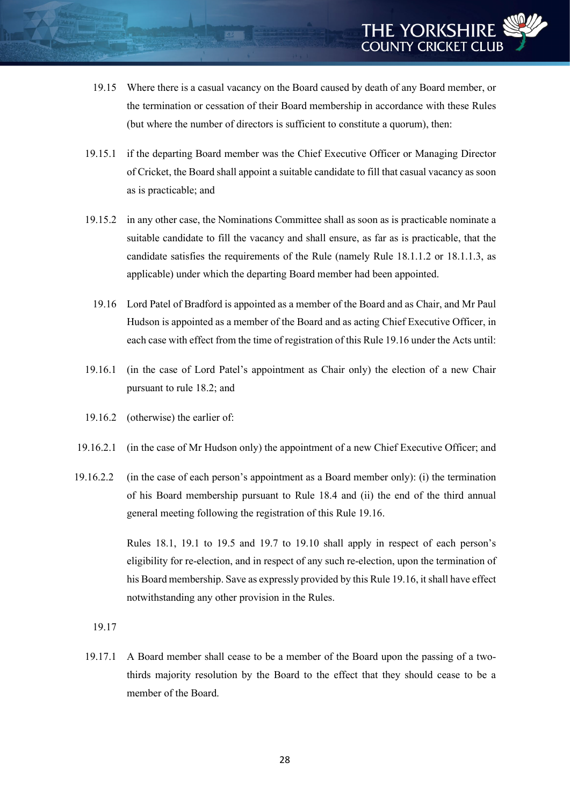- 19.15 Where there is a casual vacancy on the Board caused by death of any Board member, or the termination or cessation of their Board membership in accordance with these Rules (but where the number of directors is sufficient to constitute a quorum), then:
- 19.15.1 if the departing Board member was the Chief Executive Officer or Managing Director of Cricket, the Board shall appoint a suitable candidate to fill that casual vacancy as soon as is practicable; and
- 19.15.2 in any other case, the Nominations Committee shall as soon as is practicable nominate a suitable candidate to fill the vacancy and shall ensure, as far as is practicable, that the candidate satisfies the requirements of the Rule (namely Rule 18.1.1.2 or 18.1.1.3, as applicable) under which the departing Board member had been appointed.
	- 19.16 Lord Patel of Bradford is appointed as a member of the Board and as Chair, and Mr Paul Hudson is appointed as a member of the Board and as acting Chief Executive Officer, in each case with effect from the time of registration of this Rule 19.16 under the Acts until:
- 19.16.1 (in the case of Lord Patel's appointment as Chair only) the election of a new Chair pursuant to rule 18.2; and
- 19.16.2 (otherwise) the earlier of:
- 19.16.2.1 (in the case of Mr Hudson only) the appointment of a new Chief Executive Officer; and
- 19.16.2.2 (in the case of each person's appointment as a Board member only): (i) the termination of his Board membership pursuant to Rule 18.4 and (ii) the end of the third annual general meeting following the registration of this Rule 19.16.

Rules 18.1, 19.1 to 19.5 and 19.7 to 19.10 shall apply in respect of each person's eligibility for re-election, and in respect of any such re-election, upon the termination of his Board membership. Save as expressly provided by this Rule 19.16, it shall have effect notwithstanding any other provision in the Rules.

19.17

19.17.1 A Board member shall cease to be a member of the Board upon the passing of a twothirds majority resolution by the Board to the effect that they should cease to be a member of the Board.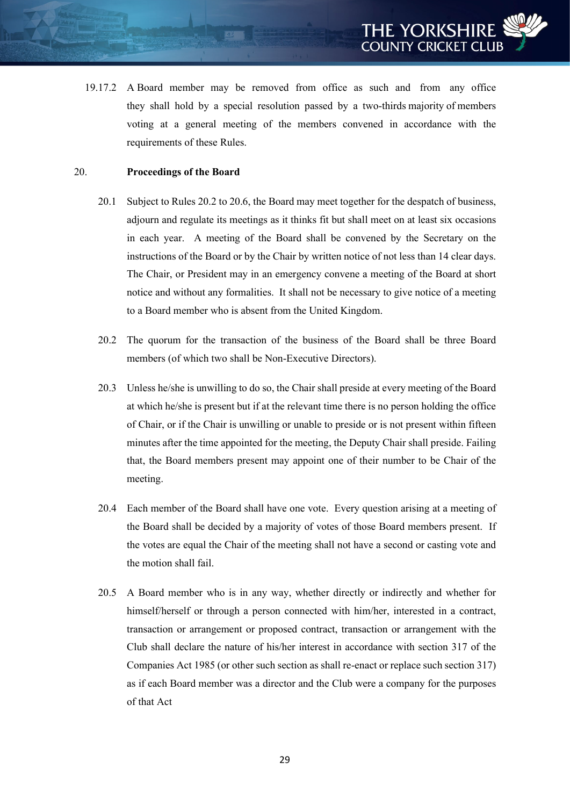19.17.2 A Board member may be removed from office as such and from any office they shall hold by a special resolution passed by a two-thirds majority of members voting at a general meeting of the members convened in accordance with the requirements of these Rules.

#### 20. **Proceedings of the Board**

- 20.1 Subject to Rules 20.2 to 20.6, the Board may meet together for the despatch of business, adjourn and regulate its meetings as it thinks fit but shall meet on at least six occasions in each year. A meeting of the Board shall be convened by the Secretary on the instructions of the Board or by the Chair by written notice of not less than 14 clear days. The Chair, or President may in an emergency convene a meeting of the Board at short notice and without any formalities. It shall not be necessary to give notice of a meeting to a Board member who is absent from the United Kingdom.
- 20.2 The quorum for the transaction of the business of the Board shall be three Board members (of which two shall be Non-Executive Directors).
- 20.3 Unless he/she is unwilling to do so, the Chair shall preside at every meeting of the Board at which he/she is present but if at the relevant time there is no person holding the office of Chair, or if the Chair is unwilling or unable to preside or is not present within fifteen minutes after the time appointed for the meeting, the Deputy Chair shall preside. Failing that, the Board members present may appoint one of their number to be Chair of the meeting.
- 20.4 Each member of the Board shall have one vote. Every question arising at a meeting of the Board shall be decided by a majority of votes of those Board members present. If the votes are equal the Chair of the meeting shall not have a second or casting vote and the motion shall fail.
- 20.5 A Board member who is in any way, whether directly or indirectly and whether for himself/herself or through a person connected with him/her, interested in a contract, transaction or arrangement or proposed contract, transaction or arrangement with the Club shall declare the nature of his/her interest in accordance with section 317 of the Companies Act 1985 (or other such section as shall re-enact or replace such section 317) as if each Board member was a director and the Club were a company for the purposes of that Act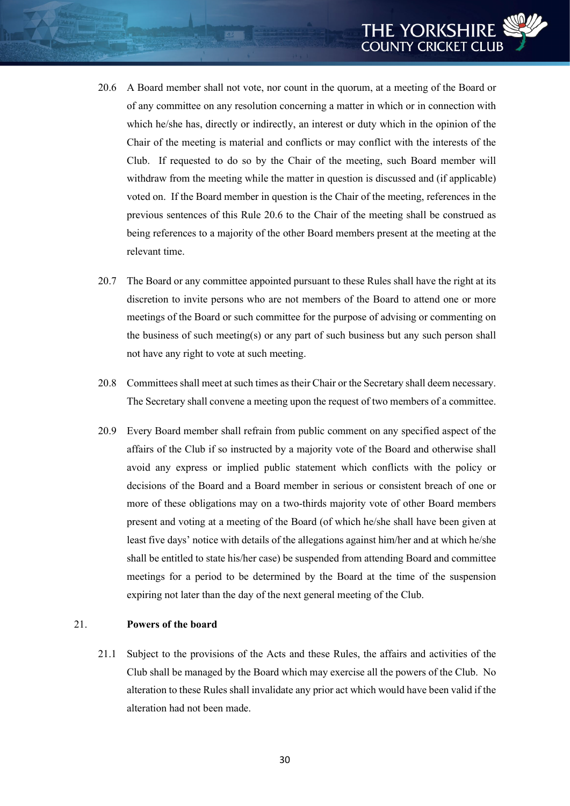- 20.6 A Board member shall not vote, nor count in the quorum, at a meeting of the Board or of any committee on any resolution concerning a matter in which or in connection with which he/she has, directly or indirectly, an interest or duty which in the opinion of the Chair of the meeting is material and conflicts or may conflict with the interests of the Club. If requested to do so by the Chair of the meeting, such Board member will withdraw from the meeting while the matter in question is discussed and (if applicable) voted on. If the Board member in question is the Chair of the meeting, references in the previous sentences of this Rule 20.6 to the Chair of the meeting shall be construed as being references to a majority of the other Board members present at the meeting at the relevant time.
- 20.7 The Board or any committee appointed pursuant to these Rules shall have the right at its discretion to invite persons who are not members of the Board to attend one or more meetings of the Board or such committee for the purpose of advising or commenting on the business of such meeting(s) or any part of such business but any such person shall not have any right to vote at such meeting.
- 20.8 Committees shall meet at such times as their Chair or the Secretary shall deem necessary. The Secretary shall convene a meeting upon the request of two members of a committee.
- 20.9 Every Board member shall refrain from public comment on any specified aspect of the affairs of the Club if so instructed by a majority vote of the Board and otherwise shall avoid any express or implied public statement which conflicts with the policy or decisions of the Board and a Board member in serious or consistent breach of one or more of these obligations may on a two-thirds majority vote of other Board members present and voting at a meeting of the Board (of which he/she shall have been given at least five days' notice with details of the allegations against him/her and at which he/she shall be entitled to state his/her case) be suspended from attending Board and committee meetings for a period to be determined by the Board at the time of the suspension expiring not later than the day of the next general meeting of the Club.

# 21. **Powers of the board**

21.1 Subject to the provisions of the Acts and these Rules, the affairs and activities of the Club shall be managed by the Board which may exercise all the powers of the Club. No alteration to these Rules shall invalidate any prior act which would have been valid if the alteration had not been made.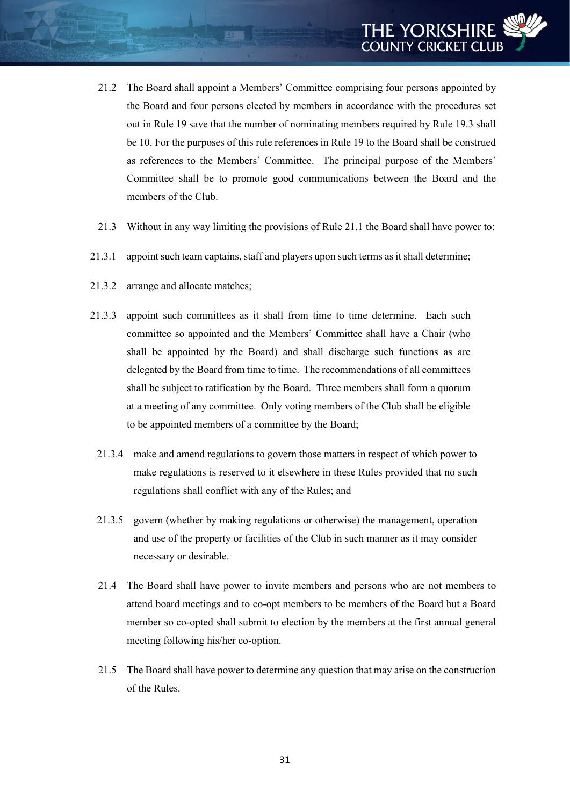- 21.2 The Board shall appoint a Members' Committee comprising four persons appointed by the Board and four persons elected by members in accordance with the procedures set out in Rule 19 save that the number of nominating members required by Rule 19.3 shall be 10. For the purposes of this rule references in Rule 19 to the Board shall be construed as references to the Members' Committee. The principal purpose of the Members' Committee shall be to promote good communications between the Board and the members of the Club.
- 21.3 Without in any way limiting the provisions of Rule 21.1 the Board shall have power to:
- 21.3.1 appoint such team captains, staff and players upon such terms as it shall determine;
- 21.3.2 arrange and allocate matches;
- 21.3.3 appoint such committees as it shall from time to time determine. Each such committee so appointed and the Members' Committee shall have a Chair (who shall be appointed by the Board) and shall discharge such functions as are delegated by the Board from time to time. The recommendations of all committees shall be subject to ratification by the Board. Three members shall form a quorum at a meeting of any committee. Only voting members of the Club shall be eligible to be appointed members of a committee by the Board;
	- 21.3.4 make and amend regulations to govern those matters in respect of which power to make regulations is reserved to it elsewhere in these Rules provided that no such regulations shall conflict with any of the Rules; and
	- 21.3.5 govern (whether by making regulations or otherwise) the management, operation and use of the property or facilities of the Club in such manner as it may consider necessary or desirable.
	- 21.4 The Board shall have power to invite members and persons who are not members to attend board meetings and to co-opt members to be members of the Board but a Board member so co-opted shall submit to election by the members at the first annual general meeting following his/her co-option.
	- 21.5 The Board shall have power to determine any question that may arise on the construction of the Rules.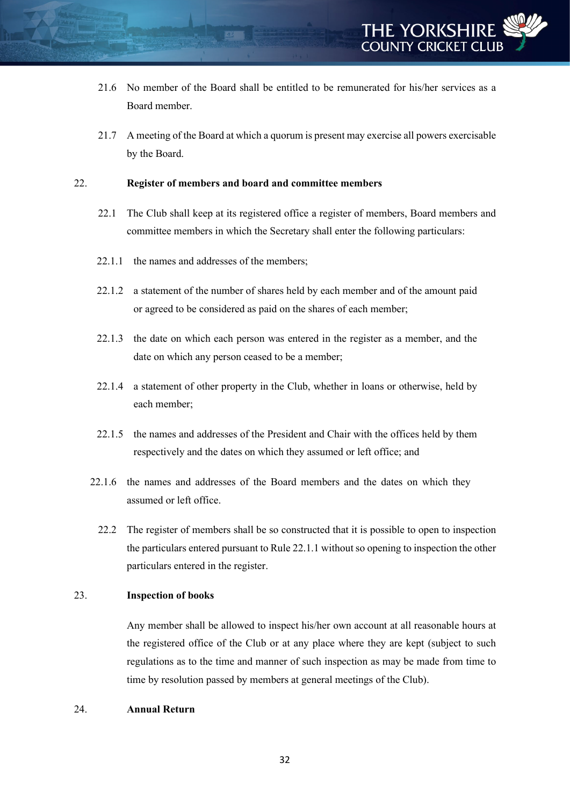

- 21.6 No member of the Board shall be entitled to be remunerated for his/her services as a Board member.
- 21.7 A meeting of the Board at which a quorum is present may exercise all powers exercisable by the Board.

#### 22. **Register of members and board and committee members**

- 22.1 The Club shall keep at its registered office a register of members, Board members and committee members in which the Secretary shall enter the following particulars:
- 22.1.1 the names and addresses of the members:
- 22.1.2 a statement of the number of shares held by each member and of the amount paid or agreed to be considered as paid on the shares of each member;
- 22.1.3 the date on which each person was entered in the register as a member, and the date on which any person ceased to be a member;
- 22.1.4 a statement of other property in the Club, whether in loans or otherwise, held by each member;
- 22.1.5 the names and addresses of the President and Chair with the offices held by them respectively and the dates on which they assumed or left office; and
- 22.1.6 the names and addresses of the Board members and the dates on which they assumed or left office.
	- 22.2 The register of members shall be so constructed that it is possible to open to inspection the particulars entered pursuant to Rule 22.1.1 without so opening to inspection the other particulars entered in the register.

#### 23. **Inspection of books**

Any member shall be allowed to inspect his/her own account at all reasonable hours at the registered office of the Club or at any place where they are kept (subject to such regulations as to the time and manner of such inspection as may be made from time to time by resolution passed by members at general meetings of the Club).

#### 24. **Annual Return**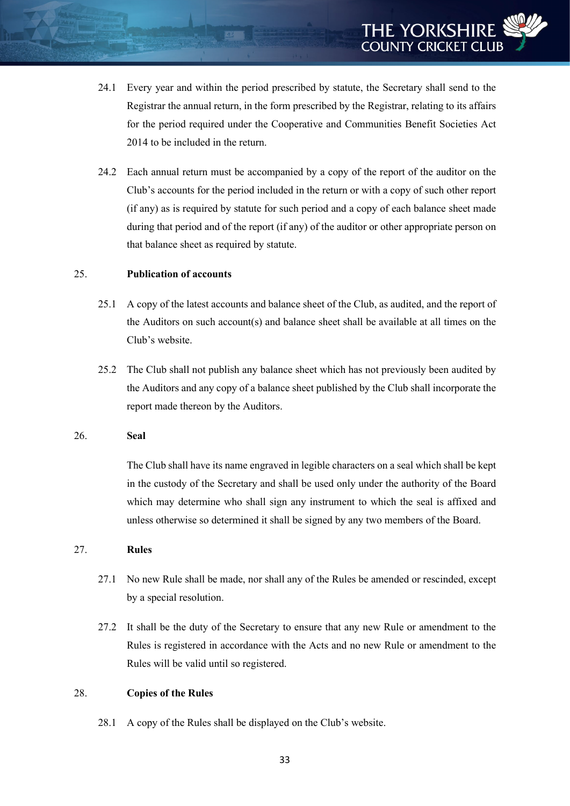- 24.1 Every year and within the period prescribed by statute, the Secretary shall send to the Registrar the annual return, in the form prescribed by the Registrar, relating to its affairs for the period required under the Cooperative and Communities Benefit Societies Act 2014 to be included in the return.
- 24.2 Each annual return must be accompanied by a copy of the report of the auditor on the Club's accounts for the period included in the return or with a copy of such other report (if any) as is required by statute for such period and a copy of each balance sheet made during that period and of the report (if any) of the auditor or other appropriate person on that balance sheet as required by statute.

# 25. **Publication of accounts**

- 25.1 A copy of the latest accounts and balance sheet of the Club, as audited, and the report of the Auditors on such account(s) and balance sheet shall be available at all times on the Club's website.
- 25.2 The Club shall not publish any balance sheet which has not previously been audited by the Auditors and any copy of a balance sheet published by the Club shall incorporate the report made thereon by the Auditors.

#### 26. **Seal**

The Club shall have its name engraved in legible characters on a seal which shall be kept in the custody of the Secretary and shall be used only under the authority of the Board which may determine who shall sign any instrument to which the seal is affixed and unless otherwise so determined it shall be signed by any two members of the Board.

# 27. **Rules**

- 27.1 No new Rule shall be made, nor shall any of the Rules be amended or rescinded, except by a special resolution.
- 27.2 It shall be the duty of the Secretary to ensure that any new Rule or amendment to the Rules is registered in accordance with the Acts and no new Rule or amendment to the Rules will be valid until so registered.

#### 28. **Copies of the Rules**

28.1 A copy of the Rules shall be displayed on the Club's website.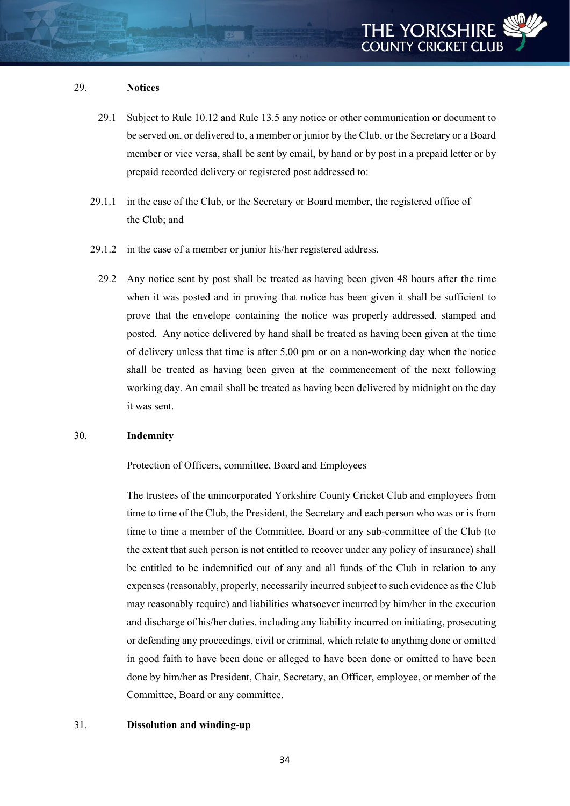#### 29. **Notices**

- 29.1 Subject to Rule 10.12 and Rule 13.5 any notice or other communication or document to be served on, or delivered to, a member or junior by the Club, or the Secretary or a Board member or vice versa, shall be sent by email, by hand or by post in a prepaid letter or by prepaid recorded delivery or registered post addressed to:
- 29.1.1 in the case of the Club, or the Secretary or Board member, the registered office of the Club; and
- 29.1.2 in the case of a member or junior his/her registered address.
	- 29.2 Any notice sent by post shall be treated as having been given 48 hours after the time when it was posted and in proving that notice has been given it shall be sufficient to prove that the envelope containing the notice was properly addressed, stamped and posted. Any notice delivered by hand shall be treated as having been given at the time of delivery unless that time is after 5.00 pm or on a non-working day when the notice shall be treated as having been given at the commencement of the next following working day. An email shall be treated as having been delivered by midnight on the day it was sent.

#### 30. **Indemnity**

Protection of Officers, committee, Board and Employees

The trustees of the unincorporated Yorkshire County Cricket Club and employees from time to time of the Club, the President, the Secretary and each person who was or is from time to time a member of the Committee, Board or any sub-committee of the Club (to the extent that such person is not entitled to recover under any policy of insurance) shall be entitled to be indemnified out of any and all funds of the Club in relation to any expenses (reasonably, properly, necessarily incurred subject to such evidence as the Club may reasonably require) and liabilities whatsoever incurred by him/her in the execution and discharge of his/her duties, including any liability incurred on initiating, prosecuting or defending any proceedings, civil or criminal, which relate to anything done or omitted in good faith to have been done or alleged to have been done or omitted to have been done by him/her as President, Chair, Secretary, an Officer, employee, or member of the Committee, Board or any committee.

#### 31. **Dissolution and winding-up**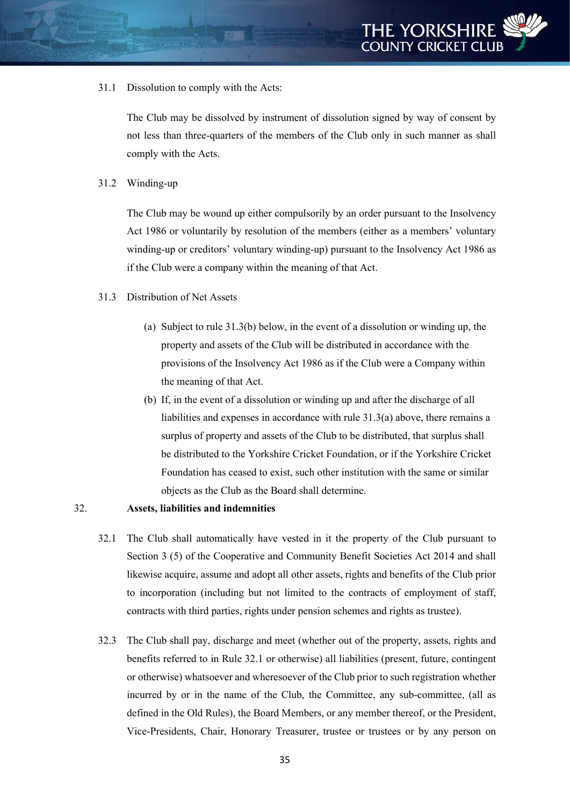31.1 Dissolution to comply with the Acts:

The Club may be dissolved by instrument of dissolution signed by way of consent by not less than three-quarters of the members of the Club only in such manner as shall comply with the Acts.

31.2 Winding-up

The Club may be wound up either compulsorily by an order pursuant to the Insolvency Act 1986 or voluntarily by resolution of the members (either as a members' voluntary winding-up or creditors' voluntary winding-up) pursuant to the Insolvency Act 1986 as if the Club were a company within the meaning of that Act.

- 31.3 Distribution of Net Assets
	- (a) Subject to rule 31.3(b) below, in the event of a dissolution or winding up, the property and assets of the Club will be distributed in accordance with the provisions of the Insolvency Act 1986 as if the Club were a Company within the meaning of that Act.
	- (b) If, in the event of a dissolution or winding up and after the discharge of all liabilities and expenses in accordance with rule 31.3(a) above, there remains a surplus of property and assets of the Club to be distributed, that surplus shall be distributed to the Yorkshire Cricket Foundation, or if the Yorkshire Cricket Foundation has ceased to exist, such other institution with the same or similar objects as the Club as the Board shall determine.

# 32. **Assets, liabilities and indemnities**

- 32.1 The Club shall automatically have vested in it the property of the Club pursuant to Section 3 (5) of the Cooperative and Community Benefit Societies Act 2014 and shall likewise acquire, assume and adopt all other assets, rights and benefits of the Club prior to incorporation (including but not limited to the contracts of employment of staff, contracts with third parties, rights under pension schemes and rights as trustee).
- 32.3 The Club shall pay, discharge and meet (whether out of the property, assets, rights and benefits referred to in Rule 32.1 or otherwise) all liabilities (present, future, contingent or otherwise) whatsoever and wheresoever of the Club prior to such registration whether incurred by or in the name of the Club, the Committee, any sub-committee, (all as defined in the Old Rules), the Board Members, or any member thereof, or the President, Vice-Presidents, Chair, Honorary Treasurer, trustee or trustees or by any person on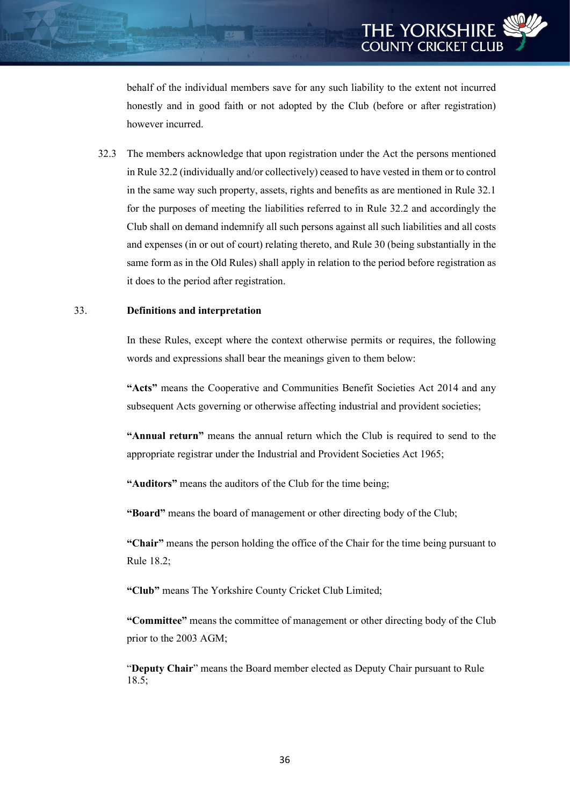behalf of the individual members save for any such liability to the extent not incurred honestly and in good faith or not adopted by the Club (before or after registration) however incurred.

32.3 The members acknowledge that upon registration under the Act the persons mentioned in Rule 32.2 (individually and/or collectively) ceased to have vested in them or to control in the same way such property, assets, rights and benefits as are mentioned in Rule 32.1 for the purposes of meeting the liabilities referred to in Rule 32.2 and accordingly the Club shall on demand indemnify all such persons against all such liabilities and all costs and expenses (in or out of court) relating thereto, and Rule 30 (being substantially in the same form as in the Old Rules) shall apply in relation to the period before registration as it does to the period after registration.

#### 33. **Definitions and interpretation**

In these Rules, except where the context otherwise permits or requires, the following words and expressions shall bear the meanings given to them below:

**"Acts"** means the Cooperative and Communities Benefit Societies Act 2014 and any subsequent Acts governing or otherwise affecting industrial and provident societies;

**"Annual return"** means the annual return which the Club is required to send to the appropriate registrar under the Industrial and Provident Societies Act 1965;

**"Auditors"** means the auditors of the Club for the time being;

**"Board"** means the board of management or other directing body of the Club;

**"Chair"** means the person holding the office of the Chair for the time being pursuant to Rule 18.2;

**"Club"** means The Yorkshire County Cricket Club Limited;

**"Committee"** means the committee of management or other directing body of the Club prior to the 2003 AGM;

"**Deputy Chair**" means the Board member elected as Deputy Chair pursuant to Rule 18.5;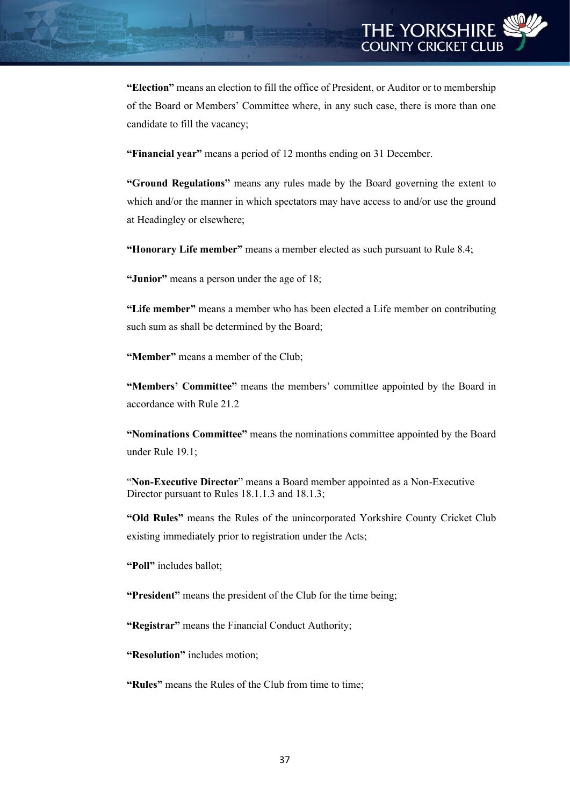**"Election"** means an election to fill the office of President, or Auditor or to membership of the Board or Members' Committee where, in any such case, there is more than one candidate to fill the vacancy;

**"Financial year"** means a period of 12 months ending on 31 December.

**"Ground Regulations"** means any rules made by the Board governing the extent to which and/or the manner in which spectators may have access to and/or use the ground at Headingley or elsewhere;

**"Honorary Life member"** means a member elected as such pursuant to Rule 8.4;

**"Junior"** means a person under the age of 18;

**"Life member"** means a member who has been elected a Life member on contributing such sum as shall be determined by the Board;

**"Member"** means a member of the Club;

**"Members' Committee"** means the members' committee appointed by the Board in accordance with Rule 21.2

**"Nominations Committee"** means the nominations committee appointed by the Board under Rule 19.1;

"**Non-Executive Director**" means a Board member appointed as a Non-Executive Director pursuant to Rules 18.1.1.3 and 18.1.3;

**"Old Rules"** means the Rules of the unincorporated Yorkshire County Cricket Club existing immediately prior to registration under the Acts;

**"Poll"** includes ballot;

**"President"** means the president of the Club for the time being;

**"Registrar"** means the Financial Conduct Authority;

**"Resolution"** includes motion;

**"Rules"** means the Rules of the Club from time to time;